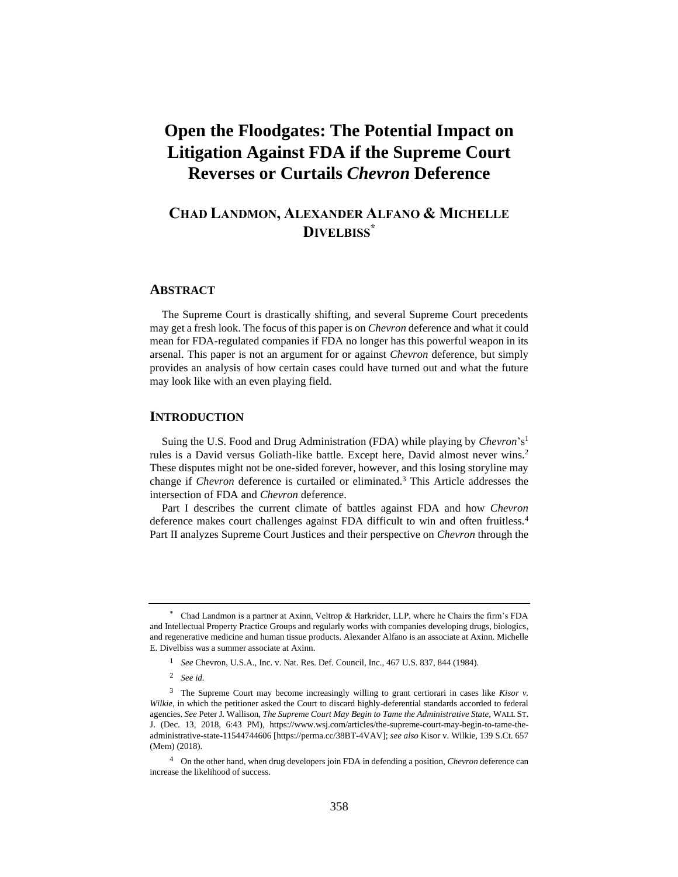# **Open the Floodgates: The Potential Impact on Litigation Against FDA if the Supreme Court Reverses or Curtails** *Chevron* **Deference**

# **CHAD LANDMON, ALEXANDER ALFANO & MICHELLE DIVELBISS\***

### **ABSTRACT**

The Supreme Court is drastically shifting, and several Supreme Court precedents may get a fresh look. The focus of this paper is on *Chevron* deference and what it could mean for FDA-regulated companies if FDA no longer has this powerful weapon in its arsenal. This paper is not an argument for or against *Chevron* deference, but simply provides an analysis of how certain cases could have turned out and what the future may look like with an even playing field.

### **INTRODUCTION**

Suing the U.S. Food and Drug Administration (FDA) while playing by *Chevron*'s<sup>1</sup> rules is a David versus Goliath-like battle. Except here, David almost never wins.<sup>2</sup> These disputes might not be one-sided forever, however, and this losing storyline may change if *Chevron* deference is curtailed or eliminated.<sup>3</sup> This Article addresses the intersection of FDA and *Chevron* deference.

Part I describes the current climate of battles against FDA and how *Chevron* deference makes court challenges against FDA difficult to win and often fruitless.<sup>4</sup> Part II analyzes Supreme Court Justices and their perspective on *Chevron* through the

<sup>\*</sup> Chad Landmon is a partner at Axinn, Veltrop & Harkrider, LLP, where he Chairs the firm's FDA and Intellectual Property Practice Groups and regularly works with companies developing drugs, biologics, and regenerative medicine and human tissue products. Alexander Alfano is an associate at Axinn. Michelle E. Divelbiss was a summer associate at Axinn.

<sup>1</sup> *See* Chevron, U.S.A., Inc. v. Nat. Res. Def. Council, Inc., 467 U.S. 837, 844 (1984).

<sup>2</sup> *See id.*

<sup>3</sup> The Supreme Court may become increasingly willing to grant certiorari in cases like *Kisor v. Wilkie*, in which the petitioner asked the Court to discard highly-deferential standards accorded to federal agencies. *See* Peter J. Wallison, *The Supreme Court May Begin to Tame the Administrative State*, WALL ST. J. (Dec. 13, 2018, 6:43 PM), https://www.wsj.com/articles/the-supreme-court-may-begin-to-tame-theadministrative-state-11544744606 [https://perma.cc/38BT-4VAV]; *see also* Kisor v. Wilkie, 139 S.Ct. 657 (Mem) (2018).

<sup>4</sup> On the other hand, when drug developers join FDA in defending a position, *Chevron* deference can increase the likelihood of success.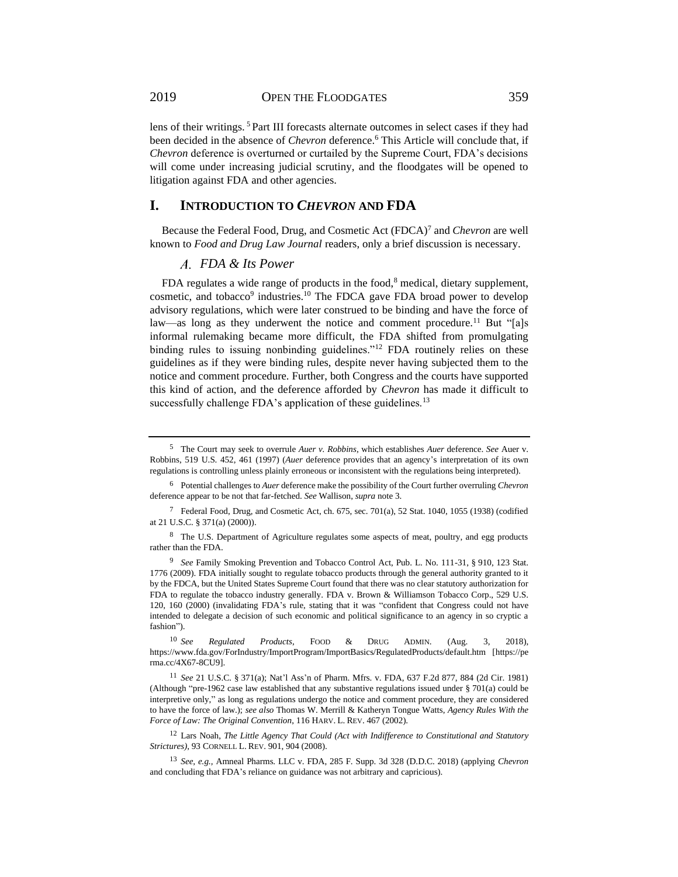2019 OPEN THE FLOODGATES 359

lens of their writings. <sup>5</sup> Part III forecasts alternate outcomes in select cases if they had been decided in the absence of *Chevron* deference.<sup>6</sup> This Article will conclude that, if *Chevron* deference is overturned or curtailed by the Supreme Court, FDA's decisions will come under increasing judicial scrutiny, and the floodgates will be opened to litigation against FDA and other agencies.

### **I. INTRODUCTION TO** *CHEVRON* **AND FDA**

Because the Federal Food, Drug, and Cosmetic Act (FDCA)<sup>7</sup> and *Chevron* are well known to *Food and Drug Law Journal* readers, only a brief discussion is necessary.

### *FDA & Its Power*

FDA regulates a wide range of products in the food, $8$  medical, dietary supplement, cosmetic, and tobacco<sup>9</sup> industries.<sup>10</sup> The FDCA gave FDA broad power to develop advisory regulations, which were later construed to be binding and have the force of law—as long as they underwent the notice and comment procedure.<sup>11</sup> But "[a]s informal rulemaking became more difficult, the FDA shifted from promulgating binding rules to issuing nonbinding guidelines."<sup>12</sup> FDA routinely relies on these guidelines as if they were binding rules, despite never having subjected them to the notice and comment procedure. Further, both Congress and the courts have supported this kind of action, and the deference afforded by *Chevron* has made it difficult to successfully challenge FDA's application of these guidelines.<sup>13</sup>

<sup>5</sup> The Court may seek to overrule *Auer v. Robbins*, which establishes *Auer* deference. *See* Auer v. Robbins, 519 U.S. 452, 461 (1997) (*Auer* deference provides that an agency's interpretation of its own regulations is controlling unless plainly erroneous or inconsistent with the regulations being interpreted).

<sup>6</sup> Potential challenges to *Auer* deference make the possibility of the Court further overruling *Chevron* deference appear to be not that far-fetched. *See* Wallison, *supra* note 3.

<sup>7</sup> Federal Food, Drug, and Cosmetic Act, ch. 675, sec. 701(a), 52 Stat. 1040, 1055 (1938) (codified at 21 U.S.C. § 371(a) (2000)).

<sup>&</sup>lt;sup>8</sup> The U.S. Department of Agriculture regulates some aspects of meat, poultry, and egg products rather than the FDA.

<sup>9</sup> *See* Family Smoking Prevention and Tobacco Control Act, Pub. L. No. 111-31, § 910, 123 Stat. 1776 (2009). FDA initially sought to regulate tobacco products through the general authority granted to it by the FDCA, but the United States Supreme Court found that there was no clear statutory authorization for FDA to regulate the tobacco industry generally. FDA v. Brown & Williamson Tobacco Corp., 529 U.S. 120, 160 (2000) (invalidating FDA's rule, stating that it was "confident that Congress could not have intended to delegate a decision of such economic and political significance to an agency in so cryptic a fashion").

<sup>10</sup> *See Regulated Products*, FOOD & DRUG ADMIN. (Aug. 3, 2018), https://www.fda.gov/ForIndustry/ImportProgram/ImportBasics/RegulatedProducts/default.htm [https://pe rma.cc/4X67-8CU9].

<sup>11</sup> *See* 21 U.S.C. § 371(a); Nat'l Ass'n of Pharm. Mfrs. v. FDA, 637 F.2d 877, 884 (2d Cir. 1981) (Although "pre-1962 case law established that any substantive regulations issued under § 701(a) could be interpretive only," as long as regulations undergo the notice and comment procedure, they are considered to have the force of law.); *see also* Thomas W. Merrill & Katheryn Tongue Watts, *Agency Rules With the Force of Law: The Original Convention*, 116 HARV. L. REV. 467 (2002).

<sup>12</sup> Lars Noah, *The Little Agency That Could (Act with Indifference to Constitutional and Statutory Strictures)*, 93 CORNELL L. REV. 901, 904 (2008).

<sup>13</sup> *See, e.g.,* Amneal Pharms. LLC v. FDA, 285 F. Supp. 3d 328 (D.D.C. 2018) (applying *Chevron* and concluding that FDA's reliance on guidance was not arbitrary and capricious).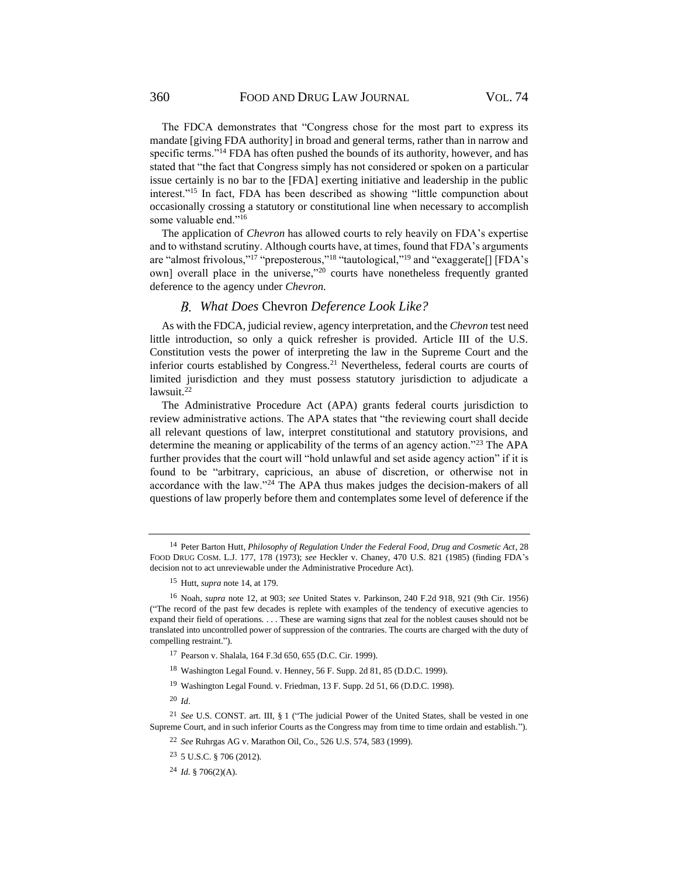The FDCA demonstrates that "Congress chose for the most part to express its mandate [giving FDA authority] in broad and general terms, rather than in narrow and specific terms."<sup>14</sup> FDA has often pushed the bounds of its authority, however, and has stated that "the fact that Congress simply has not considered or spoken on a particular issue certainly is no bar to the [FDA] exerting initiative and leadership in the public interest."<sup>15</sup> In fact, FDA has been described as showing "little compunction about occasionally crossing a statutory or constitutional line when necessary to accomplish some valuable end."<sup>16</sup>

The application of *Chevron* has allowed courts to rely heavily on FDA's expertise and to withstand scrutiny. Although courts have, at times, found that FDA's arguments are "almost frivolous,"<sup>17</sup> "preposterous,"<sup>18</sup> "tautological,"<sup>19</sup> and "exaggerate<sup>[</sup>] [FDA's own] overall place in the universe,"<sup>20</sup> courts have nonetheless frequently granted deference to the agency under *Chevron.*

### *What Does* Chevron *Deference Look Like?*

<span id="page-2-0"></span>As with the FDCA, judicial review, agency interpretation, and the *Chevron* test need little introduction, so only a quick refresher is provided. Article III of the U.S. Constitution vests the power of interpreting the law in the Supreme Court and the inferior courts established by Congress.<sup>21</sup> Nevertheless, federal courts are courts of limited jurisdiction and they must possess statutory jurisdiction to adjudicate a lawsuit.<sup>22</sup>

The Administrative Procedure Act (APA) grants federal courts jurisdiction to review administrative actions. The APA states that "the reviewing court shall decide all relevant questions of law, interpret constitutional and statutory provisions, and determine the meaning or applicability of the terms of an agency action."<sup>23</sup> The APA further provides that the court will "hold unlawful and set aside agency action" if it is found to be "arbitrary, capricious, an abuse of discretion, or otherwise not in accordance with the law."<sup>24</sup> The APA thus makes judges the decision-makers of all questions of law properly before them and contemplates some level of deference if the

<sup>19</sup> Washington Legal Found. v. Friedman, 13 F. Supp. 2d 51, 66 (D.D.C. 1998).

<sup>20</sup> *Id*.

<sup>14</sup> Peter Barton Hutt, *Philosophy of Regulation Under the Federal Food, Drug and Cosmetic Act*, 28 FOOD DRUG COSM. L.J. 177, 178 (1973); *see* Heckler v. Chaney, 470 U.S. 821 (1985) (finding FDA's decision not to act unreviewable under the Administrative Procedure Act).

<sup>15</sup> Hutt, *supra* note 14, at 179.

<sup>16</sup> Noah, *supra* note 12, at 903; *see* United States v. Parkinson, 240 F.2d 918, 921 (9th Cir. 1956) ("The record of the past few decades is replete with examples of the tendency of executive agencies to expand their field of operations. . . . These are warning signs that zeal for the noblest causes should not be translated into uncontrolled power of suppression of the contraries. The courts are charged with the duty of compelling restraint.").

<sup>17</sup> Pearson v. Shalala, 164 F.3d 650, 655 (D.C. Cir. 1999).

<sup>18</sup> Washington Legal Found. v. Henney, 56 F. Supp. 2d 81, 85 (D.D.C. 1999).

<sup>21</sup> *See* U.S. CONST. art. III, § 1 ("The judicial Power of the United States, shall be vested in one Supreme Court, and in such inferior Courts as the Congress may from time to time ordain and establish.").

<sup>22</sup> *See* Ruhrgas AG v. Marathon Oil, Co., 526 U.S. 574, 583 (1999).

<sup>23</sup> 5 U.S.C. § 706 (2012).

<sup>24</sup> *Id.* § 706(2)(A).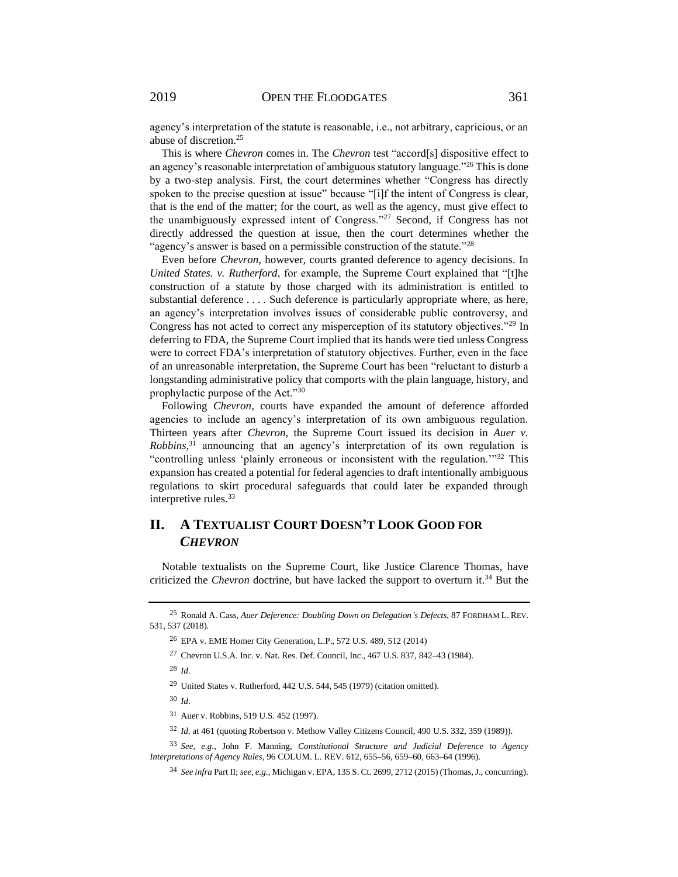agency's interpretation of the statute is reasonable, i.e., not arbitrary, capricious, or an abuse of discretion.<sup>25</sup>

This is where *Chevron* comes in. The *Chevron* test "accord[s] dispositive effect to an agency's reasonable interpretation of ambiguous statutory language."<sup>26</sup> This is done by a two-step analysis. First, the court determines whether "Congress has directly spoken to the precise question at issue" because "[i]f the intent of Congress is clear, that is the end of the matter; for the court, as well as the agency, must give effect to the unambiguously expressed intent of Congress."<sup>27</sup> Second, if Congress has not directly addressed the question at issue, then the court determines whether the "agency's answer is based on a permissible construction of the statute."<sup>28</sup>

Even before *Chevron*, however, courts granted deference to agency decisions. In *United States. v. Rutherford*, for example, the Supreme Court explained that "[t]he construction of a statute by those charged with its administration is entitled to substantial deference . . . . Such deference is particularly appropriate where, as here, an agency's interpretation involves issues of considerable public controversy, and Congress has not acted to correct any misperception of its statutory objectives."<sup>29</sup> In deferring to FDA, the Supreme Court implied that its hands were tied unless Congress were to correct FDA's interpretation of statutory objectives. Further, even in the face of an unreasonable interpretation, the Supreme Court has been "reluctant to disturb a longstanding administrative policy that comports with the plain language, history, and prophylactic purpose of the Act."<sup>30</sup>

Following *Chevron*, courts have expanded the amount of deference afforded agencies to include an agency's interpretation of its own ambiguous regulation. Thirteen years after *Chevron*, the Supreme Court issued its decision in *Auer v. Robbins,*<sup>31</sup> announcing that an agency's interpretation of its own regulation is "controlling unless 'plainly erroneous or inconsistent with the regulation.'"<sup>32</sup> This expansion has created a potential for federal agencies to draft intentionally ambiguous regulations to skirt procedural safeguards that could later be expanded through interpretive rules.<sup>33</sup>

## **II. A TEXTUALIST COURT DOESN'T LOOK GOOD FOR**  *CHEVRON*

Notable textualists on the Supreme Court, like Justice Clarence Thomas, have criticized the *Chevron* doctrine, but have lacked the support to overturn it.<sup>34</sup> But the

<sup>28</sup> *Id.*

<sup>29</sup> United States v. Rutherford, 442 U.S. 544, 545 (1979) (citation omitted).

<sup>30</sup> *Id*.

<sup>31</sup> Auer v. Robbins, 519 U.S. 452 (1997).

<sup>32</sup> *Id.* at 461 (quoting Robertson v. Methow Valley Citizens Council, 490 U.S. 332, 359 (1989)).

<sup>33</sup> *See, e.g.,* John F. Manning, *Constitutional Structure and Judicial Deference to Agency Interpretations of Agency Rules*, 96 COLUM. L. REV. 612, 655–56, 659–60, 663–64 (1996).

<sup>34</sup> *See infra* Part II; *see, e.g.*, Michigan v. EPA*,* 135 S. Ct. 2699, 2712 (2015) (Thomas, J., concurring).

<sup>25</sup> Ronald A. Cass, *Auer Deference: Doubling Down on Delegation's Defects*, 87 FORDHAM L. REV. 531, 537 (2018).

<sup>26</sup> EPA v. EME Homer City Generation, L.P., 572 U.S. 489, 512 (2014)

<sup>27</sup> Chevron U.S.A. Inc. v. Nat. Res. Def. Council, Inc., 467 U.S. 837, 842–43 (1984).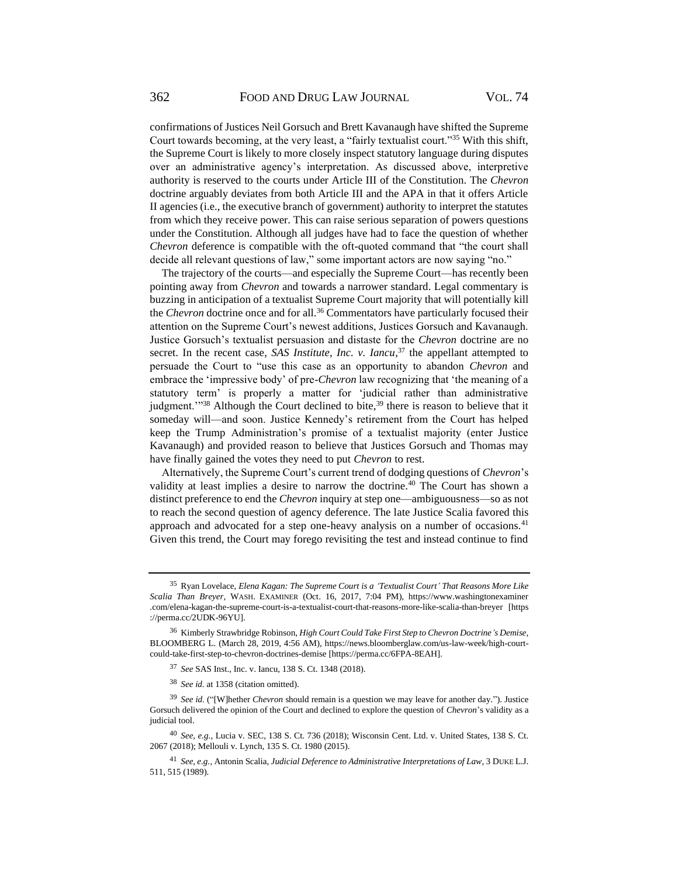confirmations of Justices Neil Gorsuch and Brett Kavanaugh have shifted the Supreme Court towards becoming, at the very least, a "fairly textualist court."<sup>35</sup> With this shift, the Supreme Court is likely to more closely inspect statutory language during disputes over an administrative agency's interpretation. As discussed above, interpretive authority is reserved to the courts under Article III of the Constitution. The *Chevron* doctrine arguably deviates from both Article III and the APA in that it offers Article II agencies (i.e., the executive branch of government) authority to interpret the statutes from which they receive power. This can raise serious separation of powers questions under the Constitution. Although all judges have had to face the question of whether *Chevron* deference is compatible with the oft-quoted command that "the court shall decide all relevant questions of law," some important actors are now saying "no."

The trajectory of the courts—and especially the Supreme Court—has recently been pointing away from *Chevron* and towards a narrower standard. Legal commentary is buzzing in anticipation of a textualist Supreme Court majority that will potentially kill the *Chevron* doctrine once and for all.<sup>36</sup> Commentators have particularly focused their attention on the Supreme Court's newest additions, Justices Gorsuch and Kavanaugh. Justice Gorsuch's textualist persuasion and distaste for the *Chevron* doctrine are no secret. In the recent case, *SAS Institute, Inc. v. Iancu*<sup>37</sup>, the appellant attempted to persuade the Court to "use this case as an opportunity to abandon *Chevron* and embrace the 'impressive body' of pre-*Chevron* law recognizing that 'the meaning of a statutory term' is properly a matter for 'judicial rather than administrative judgment."<sup>38</sup> Although the Court declined to bite,<sup>39</sup> there is reason to believe that it someday will—and soon. Justice Kennedy's retirement from the Court has helped keep the Trump Administration's promise of a textualist majority (enter Justice Kavanaugh) and provided reason to believe that Justices Gorsuch and Thomas may have finally gained the votes they need to put *Chevron* to rest.

Alternatively, the Supreme Court's current trend of dodging questions of *Chevron*'s validity at least implies a desire to narrow the doctrine.<sup>40</sup> The Court has shown a distinct preference to end the *Chevron* inquiry at step one—ambiguousness—so as not to reach the second question of agency deference. The late Justice Scalia favored this approach and advocated for a step one-heavy analysis on a number of occasions.<sup>41</sup> Given this trend, the Court may forego revisiting the test and instead continue to find

<sup>35</sup> Ryan Lovelace, *Elena Kagan: The Supreme Court is a 'Textualist Court' That Reasons More Like Scalia Than Breyer*, WASH. EXAMINER (Oct. 16, 2017, 7:04 PM), https://www.washingtonexaminer .com/elena-kagan-the-supreme-court-is-a-textualist-court-that-reasons-more-like-scalia-than-breyer [https ://perma.cc/2UDK-96YU].

<sup>36</sup> Kimberly Strawbridge Robinson, *High Court Could Take First Step to Chevron Doctrine's Demise*, BLOOMBERG L. (March 28, 2019, 4:56 AM), https://news.bloomberglaw.com/us-law-week/high-courtcould-take-first-step-to-chevron-doctrines-demise [https://perma.cc/6FPA-8EAH].

<sup>37</sup> *See* SAS Inst., Inc. v. Iancu, 138 S. Ct. 1348 (2018).

<sup>38</sup> *See id.* at 1358 (citation omitted).

<sup>39</sup> *See id.* ("[W]hether *Chevron* should remain is a question we may leave for another day."). Justice Gorsuch delivered the opinion of the Court and declined to explore the question of *Chevron*'s validity as a judicial tool.

<sup>40</sup> *See, e.g.*, Lucia v. SEC, 138 S. Ct. 736 (2018); Wisconsin Cent. Ltd. v. United States, 138 S. Ct. 2067 (2018); Mellouli v. Lynch, 135 S. Ct. 1980 (2015).

<sup>41</sup> *See, e.g.*, Antonin Scalia, *Judicial Deference to Administrative Interpretations of Law*, 3 DUKE L.J. 511, 515 (1989).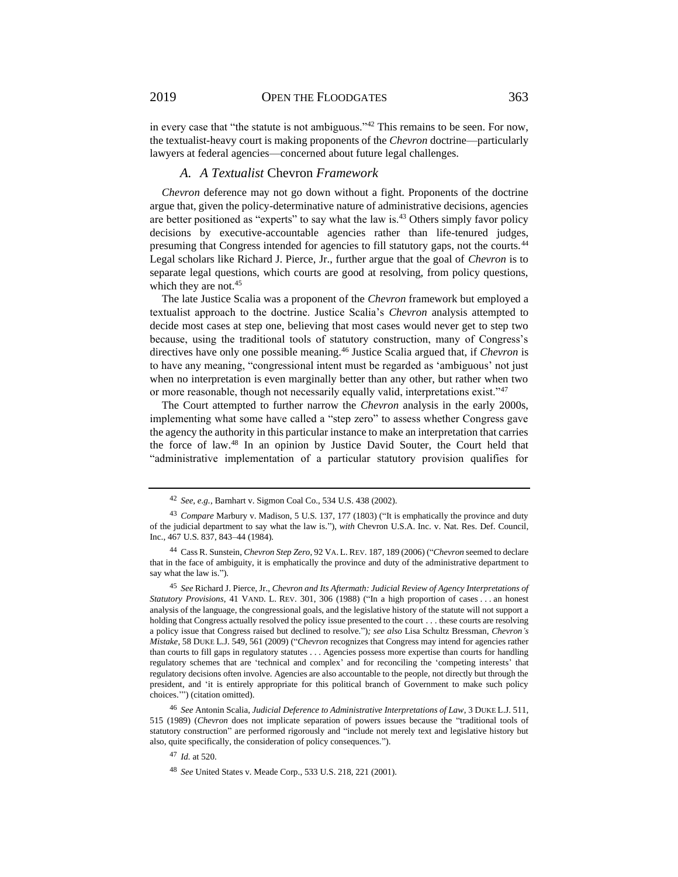in every case that "the statute is not ambiguous."<sup>42</sup> This remains to be seen. For now, the textualist-heavy court is making proponents of the *Chevron* doctrine—particularly lawyers at federal agencies—concerned about future legal challenges.

### *A. A Textualist* Chevron *Framework*

*Chevron* deference may not go down without a fight. Proponents of the doctrine argue that, given the policy-determinative nature of administrative decisions, agencies are better positioned as "experts" to say what the law is.<sup>43</sup> Others simply favor policy decisions by executive-accountable agencies rather than life-tenured judges, presuming that Congress intended for agencies to fill statutory gaps, not the courts.<sup>44</sup> Legal scholars like Richard J. Pierce, Jr., further argue that the goal of *Chevron* is to separate legal questions, which courts are good at resolving, from policy questions, which they are not.<sup>45</sup>

The late Justice Scalia was a proponent of the *Chevron* framework but employed a textualist approach to the doctrine. Justice Scalia's *Chevron* analysis attempted to decide most cases at step one, believing that most cases would never get to step two because, using the traditional tools of statutory construction, many of Congress's directives have only one possible meaning.<sup>46</sup> Justice Scalia argued that, if *Chevron* is to have any meaning, "congressional intent must be regarded as 'ambiguous' not just when no interpretation is even marginally better than any other, but rather when two or more reasonable, though not necessarily equally valid, interpretations exist."<sup>47</sup>

The Court attempted to further narrow the *Chevron* analysis in the early 2000s, implementing what some have called a "step zero" to assess whether Congress gave the agency the authority in this particular instance to make an interpretation that carries the force of law.<sup>48</sup> In an opinion by Justice David Souter, the Court held that "administrative implementation of a particular statutory provision qualifies for

<sup>47</sup> *Id.* at 520.

<sup>42</sup> *See, e.g.*, Barnhart v. Sigmon Coal Co., 534 U.S. 438 (2002).

<sup>43</sup> *Compare* Marbury v. Madison, 5 U.S. 137, 177 (1803) ("It is emphatically the province and duty of the judicial department to say what the law is."), *with* Chevron U.S.A. Inc. v. Nat. Res. Def. Council, Inc., 467 U.S. 837, 843–44 (1984).

<sup>44</sup> Cass R. Sunstein, *Chevron Step Zero*, 92 VA. L. REV. 187, 189 (2006) ("*Chevron* seemed to declare that in the face of ambiguity, it is emphatically the province and duty of the administrative department to say what the law is.").

<sup>45</sup> *See* Richard J. Pierce, Jr., *Chevron and Its Aftermath: Judicial Review of Agency Interpretations of Statutory Provisions*, 41 VAND. L. REV. 301, 306 (1988) ("In a high proportion of cases . . . an honest analysis of the language, the congressional goals, and the legislative history of the statute will not support a holding that Congress actually resolved the policy issue presented to the court . . . these courts are resolving a policy issue that Congress raised but declined to resolve.")*; see also* Lisa Schultz Bressman, *Chevron's Mistake*, 58 DUKE L.J. 549, 561 (2009) ("*Chevron* recognizes that Congress may intend for agencies rather than courts to fill gaps in regulatory statutes . . . Agencies possess more expertise than courts for handling regulatory schemes that are 'technical and complex' and for reconciling the 'competing interests' that regulatory decisions often involve. Agencies are also accountable to the people, not directly but through the president, and 'it is entirely appropriate for this political branch of Government to make such policy choices.'") (citation omitted).

<sup>46</sup> *See* Antonin Scalia, *Judicial Deference to Administrative Interpretations of Law*, 3 DUKE L.J. 511, 515 (1989) (*Chevron* does not implicate separation of powers issues because the "traditional tools of statutory construction" are performed rigorously and "include not merely text and legislative history but also, quite specifically, the consideration of policy consequences.").

<sup>48</sup> *See* United States v. Meade Corp., 533 U.S. 218, 221 (2001).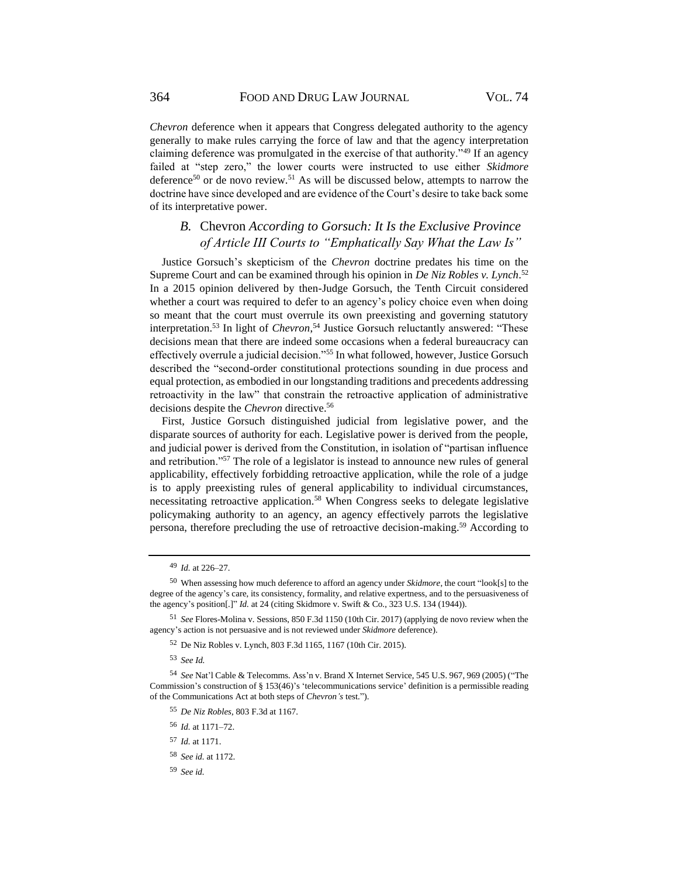*Chevron* deference when it appears that Congress delegated authority to the agency generally to make rules carrying the force of law and that the agency interpretation claiming deference was promulgated in the exercise of that authority."<sup>49</sup> If an agency failed at "step zero," the lower courts were instructed to use either *Skidmore* deference<sup>50</sup> or de novo review.<sup>51</sup> As will be discussed below, attempts to narrow the doctrine have since developed and are evidence of the Court's desire to take back some of its interpretative power.

### *B.* Chevron *According to Gorsuch: It Is the Exclusive Province of Article III Courts to "Emphatically Say What the Law Is"*

Justice Gorsuch's skepticism of the *Chevron* doctrine predates his time on the Supreme Court and can be examined through his opinion in *De Niz Robles v. Lynch*. 52 In a 2015 opinion delivered by then-Judge Gorsuch, the Tenth Circuit considered whether a court was required to defer to an agency's policy choice even when doing so meant that the court must overrule its own preexisting and governing statutory interpretation.<sup>53</sup> In light of *Chevron*, <sup>54</sup> Justice Gorsuch reluctantly answered: "These decisions mean that there are indeed some occasions when a federal bureaucracy can effectively overrule a judicial decision."<sup>55</sup> In what followed, however, Justice Gorsuch described the "second-order constitutional protections sounding in due process and equal protection, as embodied in our longstanding traditions and precedents addressing retroactivity in the law" that constrain the retroactive application of administrative decisions despite the *Chevron* directive.<sup>56</sup>

First, Justice Gorsuch distinguished judicial from legislative power, and the disparate sources of authority for each. Legislative power is derived from the people, and judicial power is derived from the Constitution, in isolation of "partisan influence and retribution."<sup>57</sup> The role of a legislator is instead to announce new rules of general applicability, effectively forbidding retroactive application, while the role of a judge is to apply preexisting rules of general applicability to individual circumstances, necessitating retroactive application.<sup>58</sup> When Congress seeks to delegate legislative policymaking authority to an agency, an agency effectively parrots the legislative persona, therefore precluding the use of retroactive decision-making.<sup>59</sup> According to

<sup>55</sup> *De Niz Robles*, 803 F.3d at 1167.

<sup>56</sup> *Id.* at 1171–72.

<sup>57</sup> *Id.* at 1171.

<sup>59</sup> *See id.*

<sup>49</sup> *Id.* at 226–27.

<sup>50</sup> When assessing how much deference to afford an agency under *Skidmore*, the court "look[s] to the degree of the agency's care, its consistency, formality, and relative expertness, and to the persuasiveness of the agency's position[.]" *Id.* at 24 (citing Skidmore v. Swift & Co., 323 U.S. 134 (1944)).

<sup>51</sup> *See* Flores-Molina v. Sessions, 850 F.3d 1150 (10th Cir. 2017) (applying de novo review when the agency's action is not persuasive and is not reviewed under *Skidmore* deference).

<sup>52</sup> De Niz Robles v. Lynch, 803 F.3d 1165, 1167 (10th Cir. 2015).

<sup>53</sup> *See Id.*

<sup>54</sup> *See* Nat'l Cable & Telecomms. Ass'n v. Brand X Internet Service, 545 U.S. 967, 969 (2005) ("The Commission's construction of § 153(46)'s 'telecommunications service' definition is a permissible reading of the Communications Act at both steps of *Chevron's* test.").

<sup>58</sup> *See id.* at 1172.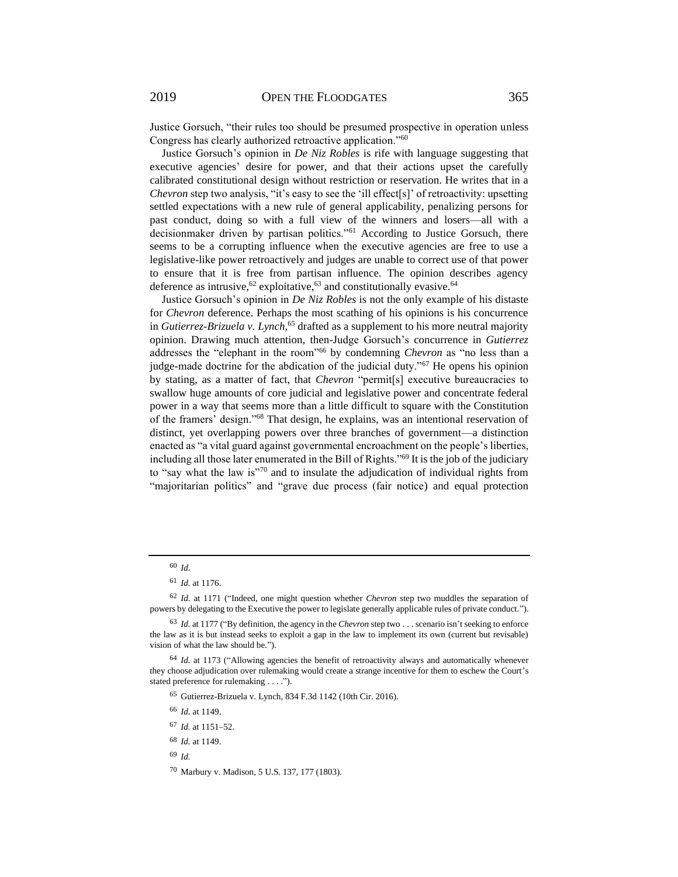Justice Gorsuch, "their rules too should be presumed prospective in operation unless Congress has clearly authorized retroactive application."<sup>60</sup>

Justice Gorsuch's opinion in *De Niz Robles* is rife with language suggesting that executive agencies' desire for power, and that their actions upset the carefully calibrated constitutional design without restriction or reservation. He writes that in a *Chevron* step two analysis, "it's easy to see the 'ill effect<sup>[s]</sup>' of retroactivity: upsetting settled expectations with a new rule of general applicability, penalizing persons for past conduct, doing so with a full view of the winners and losers—all with a decisionmaker driven by partisan politics."<sup>61</sup> According to Justice Gorsuch, there seems to be a corrupting influence when the executive agencies are free to use a legislative-like power retroactively and judges are unable to correct use of that power to ensure that it is free from partisan influence. The opinion describes agency deference as intrusive,  $62$  exploitative,  $63$  and constitutionally evasive.  $64$ 

Justice Gorsuch's opinion in *De Niz Robles* is not the only example of his distaste for *Chevron* deference. Perhaps the most scathing of his opinions is his concurrence in *Gutierrez-Brizuela v. Lynch*, <sup>65</sup> drafted as a supplement to his more neutral majority opinion. Drawing much attention, then-Judge Gorsuch's concurrence in *Gutierrez* addresses the "elephant in the room"<sup>66</sup> by condemning *Chevron* as "no less than a judge-made doctrine for the abdication of the judicial duty."<sup>67</sup> He opens his opinion by stating, as a matter of fact, that *Chevron* "permit[s] executive bureaucracies to swallow huge amounts of core judicial and legislative power and concentrate federal power in a way that seems more than a little difficult to square with the Constitution of the framers' design."<sup>68</sup> That design, he explains, was an intentional reservation of distinct, yet overlapping powers over three branches of government—a distinction enacted as "a vital guard against governmental encroachment on the people's liberties, including all those later enumerated in the Bill of Rights."<sup>69</sup> It is the job of the judiciary to "say what the law is"<sup>70</sup> and to insulate the adjudication of individual rights from "majoritarian politics" and "grave due process (fair notice) and equal protection

- <sup>66</sup> *Id.* at 1149.
- <sup>67</sup> *Id.* at 1151–52.
- <sup>68</sup> *Id.* at 1149.
- <sup>69</sup> *Id.*
- <sup>70</sup> Marbury v. Madison, 5 U.S. 137, 177 (1803).

<sup>60</sup> *Id.*

<sup>61</sup> *Id.* at 1176.

<sup>62</sup> *Id.* at 1171 ("Indeed, one might question whether *Chevron* step two muddles the separation of powers by delegating to the Executive the power to legislate generally applicable rules of private conduct.").

<sup>63</sup> *Id.* at 1177 ("By definition, the agency in the *Chevron* step two . . . scenario isn't seeking to enforce the law as it is but instead seeks to exploit a gap in the law to implement its own (current but revisable) vision of what the law should be.").

<sup>64</sup> *Id.* at 1173 ("Allowing agencies the benefit of retroactivity always and automatically whenever they choose adjudication over rulemaking would create a strange incentive for them to eschew the Court's stated preference for rulemaking . . . .").

<sup>65</sup> Gutierrez-Brizuela v. Lynch, 834 F.3d 1142 (10th Cir. 2016).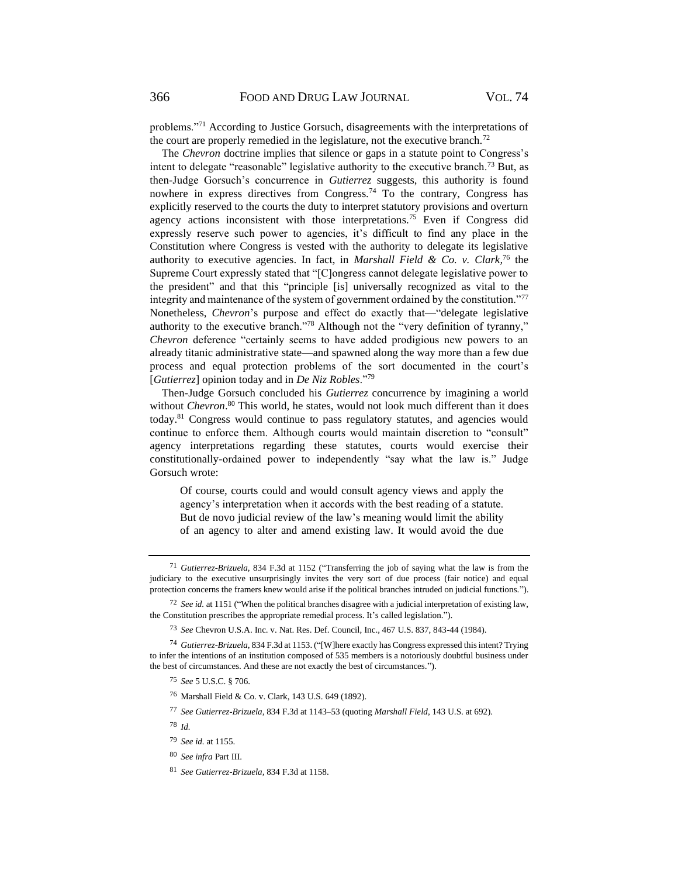problems."<sup>71</sup> According to Justice Gorsuch, disagreements with the interpretations of the court are properly remedied in the legislature, not the executive branch.<sup>72</sup>

The *Chevron* doctrine implies that silence or gaps in a statute point to Congress's intent to delegate "reasonable" legislative authority to the executive branch.<sup>73</sup> But, as then-Judge Gorsuch's concurrence in *Gutierrez* suggests, this authority is found nowhere in express directives from Congress.<sup>74</sup> To the contrary, Congress has explicitly reserved to the courts the duty to interpret statutory provisions and overturn agency actions inconsistent with those interpretations.<sup>75</sup> Even if Congress did expressly reserve such power to agencies, it's difficult to find any place in the Constitution where Congress is vested with the authority to delegate its legislative authority to executive agencies. In fact, in *Marshall Field & Co. v. Clark,* <sup>76</sup> the Supreme Court expressly stated that "[C]ongress cannot delegate legislative power to the president" and that this "principle [is] universally recognized as vital to the integrity and maintenance of the system of government ordained by the constitution."<sup>77</sup> Nonetheless, *Chevron*'s purpose and effect do exactly that—"delegate legislative authority to the executive branch."<sup>78</sup> Although not the "very definition of tyranny," *Chevron* deference "certainly seems to have added prodigious new powers to an already titanic administrative state—and spawned along the way more than a few due process and equal protection problems of the sort documented in the court's [*Gutierrez*] opinion today and in *De Niz Robles*."<sup>79</sup>

Then-Judge Gorsuch concluded his *Gutierrez* concurrence by imagining a world without *Chevron*.<sup>80</sup> This world, he states, would not look much different than it does today.<sup>81</sup> Congress would continue to pass regulatory statutes, and agencies would continue to enforce them. Although courts would maintain discretion to "consult" agency interpretations regarding these statutes, courts would exercise their constitutionally-ordained power to independently "say what the law is." Judge Gorsuch wrote:

Of course, courts could and would consult agency views and apply the agency's interpretation when it accords with the best reading of a statute. But de novo judicial review of the law's meaning would limit the ability of an agency to alter and amend existing law. It would avoid the due

<sup>71</sup> *Gutierrez-Brizuela*, 834 F.3d at 1152 ("Transferring the job of saying what the law is from the judiciary to the executive unsurprisingly invites the very sort of due process (fair notice) and equal protection concerns the framers knew would arise if the political branches intruded on judicial functions.").

<sup>72</sup> *See id.* at 1151 ("When the political branches disagree with a judicial interpretation of existing law, the Constitution prescribes the appropriate remedial process. It's called legislation.").

<sup>73</sup> *See* Chevron U.S.A. Inc. v. Nat. Res. Def. Council, Inc., 467 U.S. 837, 843-44 (1984).

<sup>74</sup> *Gutierrez-Brizuela*, 834 F.3d at 1153. ("[W]here exactly has Congress expressed this intent? Trying to infer the intentions of an institution composed of 535 members is a notoriously doubtful business under the best of circumstances. And these are not exactly the best of circumstances.").

<sup>75</sup> *See* 5 U.S.C. § 706.

<sup>76</sup> Marshall Field & Co. v. Clark, 143 U.S. 649 (1892).

<sup>77</sup> *See Gutierrez-Brizuela*, 834 F.3d at 1143–53 (quoting *Marshall Field*, 143 U.S. at 692).

<sup>78</sup> *Id.*

<sup>79</sup> *See id.* at 1155.

<sup>80</sup> *See infra* Part III.

<sup>81</sup> *See Gutierrez-Brizuela,* 834 F.3d at 1158.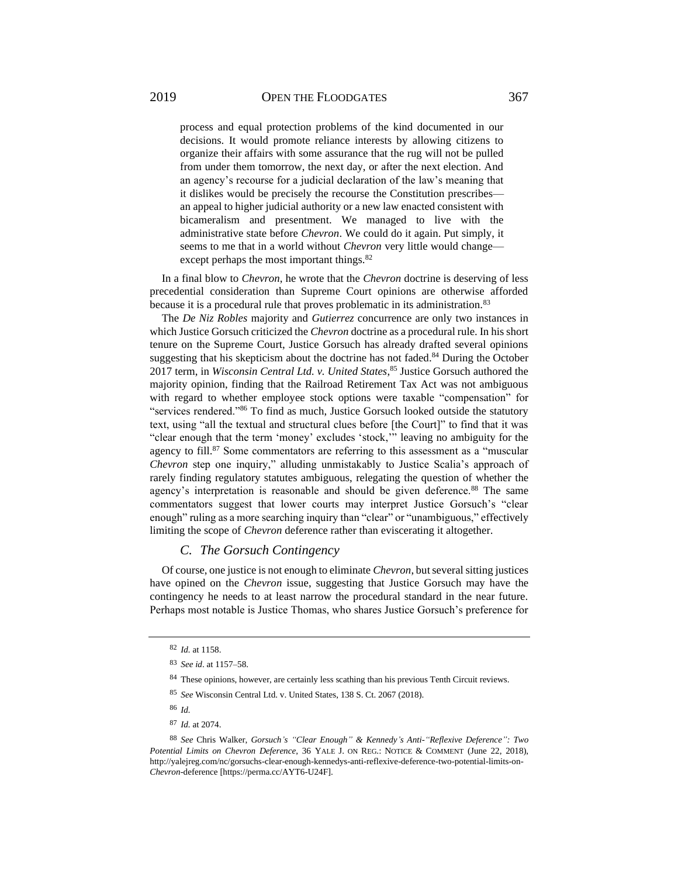process and equal protection problems of the kind documented in our decisions. It would promote reliance interests by allowing citizens to organize their affairs with some assurance that the rug will not be pulled from under them tomorrow, the next day, or after the next election. And an agency's recourse for a judicial declaration of the law's meaning that it dislikes would be precisely the recourse the Constitution prescribes an appeal to higher judicial authority or a new law enacted consistent with bicameralism and presentment. We managed to live with the administrative state before *Chevron*. We could do it again. Put simply, it seems to me that in a world without *Chevron* very little would change except perhaps the most important things.<sup>82</sup>

In a final blow to *Chevron*, he wrote that the *Chevron* doctrine is deserving of less precedential consideration than Supreme Court opinions are otherwise afforded because it is a procedural rule that proves problematic in its administration.<sup>83</sup>

The *De Niz Robles* majority and *Gutierrez* concurrence are only two instances in which Justice Gorsuch criticized the *Chevron* doctrine as a procedural rule. In his short tenure on the Supreme Court, Justice Gorsuch has already drafted several opinions suggesting that his skepticism about the doctrine has not faded.<sup>84</sup> During the October 2017 term, in *Wisconsin Central Ltd. v. United States*, <sup>85</sup> Justice Gorsuch authored the majority opinion, finding that the Railroad Retirement Tax Act was not ambiguous with regard to whether employee stock options were taxable "compensation" for "services rendered."<sup>86</sup> To find as much, Justice Gorsuch looked outside the statutory text, using "all the textual and structural clues before [the Court]" to find that it was "clear enough that the term 'money' excludes 'stock,'" leaving no ambiguity for the agency to fill.<sup>87</sup> Some commentators are referring to this assessment as a "muscular *Chevron* step one inquiry," alluding unmistakably to Justice Scalia's approach of rarely finding regulatory statutes ambiguous, relegating the question of whether the agency's interpretation is reasonable and should be given deference.<sup>88</sup> The same commentators suggest that lower courts may interpret Justice Gorsuch's "clear enough" ruling as a more searching inquiry than "clear" or "unambiguous," effectively limiting the scope of *Chevron* deference rather than eviscerating it altogether.

### *C. The Gorsuch Contingency*

Of course, one justice is not enough to eliminate *Chevron*, but several sitting justices have opined on the *Chevron* issue, suggesting that Justice Gorsuch may have the contingency he needs to at least narrow the procedural standard in the near future. Perhaps most notable is Justice Thomas, who shares Justice Gorsuch's preference for

<sup>87</sup> *Id.* at 2074.

<sup>82</sup> *Id.* at 1158.

<sup>83</sup> *See id*. at 1157–58.

<sup>&</sup>lt;sup>84</sup> These opinions, however, are certainly less scathing than his previous Tenth Circuit reviews.

<sup>85</sup> *See* Wisconsin Central Ltd. v. United States, 138 S. Ct. 2067 (2018).

<sup>86</sup> *Id.*

<sup>88</sup> *See* Chris Walker, *Gorsuch's "Clear Enough" & Kennedy's Anti-"Reflexive Deference": Two Potential Limits on Chevron Deference*, 36 YALE J. ON REG.: NOTICE & COMMENT (June 22, 2018), http://yalejreg.com/nc/gorsuchs-clear-enough-kennedys-anti-reflexive-deference-two-potential-limits-on-*Chevron*-deference [https://perma.cc/AYT6-U24F].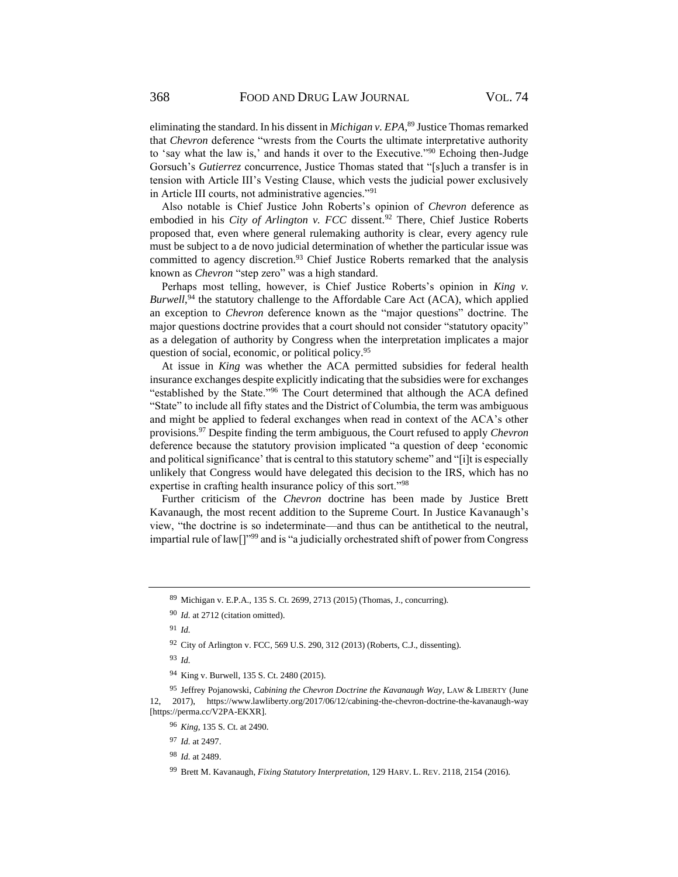eliminating the standard. In his dissent in *Michigan v. EPA*, <sup>89</sup> Justice Thomas remarked that *Chevron* deference "wrests from the Courts the ultimate interpretative authority to 'say what the law is,' and hands it over to the Executive."<sup>90</sup> Echoing then-Judge Gorsuch's *Gutierrez* concurrence, Justice Thomas stated that "[s]uch a transfer is in tension with Article III's Vesting Clause, which vests the judicial power exclusively in Article III courts, not administrative agencies."<sup>91</sup>

Also notable is Chief Justice John Roberts's opinion of *Chevron* deference as embodied in his *City of Arlington v. FCC* dissent.<sup>92</sup> There, Chief Justice Roberts proposed that, even where general rulemaking authority is clear, every agency rule must be subject to a de novo judicial determination of whether the particular issue was committed to agency discretion.<sup>93</sup> Chief Justice Roberts remarked that the analysis known as *Chevron* "step zero" was a high standard.

Perhaps most telling, however, is Chief Justice Roberts's opinion in *King v.*  Burwell,<sup>94</sup> the statutory challenge to the Affordable Care Act (ACA), which applied an exception to *Chevron* deference known as the "major questions" doctrine. The major questions doctrine provides that a court should not consider "statutory opacity" as a delegation of authority by Congress when the interpretation implicates a major question of social, economic, or political policy.<sup>95</sup>

At issue in *King* was whether the ACA permitted subsidies for federal health insurance exchanges despite explicitly indicating that the subsidies were for exchanges "established by the State."<sup>96</sup> The Court determined that although the ACA defined "State" to include all fifty states and the District of Columbia, the term was ambiguous and might be applied to federal exchanges when read in context of the ACA's other provisions.<sup>97</sup> Despite finding the term ambiguous, the Court refused to apply *Chevron* deference because the statutory provision implicated "a question of deep 'economic and political significance' that is central to this statutory scheme" and "[i]t is especially unlikely that Congress would have delegated this decision to the IRS, which has no expertise in crafting health insurance policy of this sort."<sup>98</sup>

Further criticism of the *Chevron* doctrine has been made by Justice Brett Kavanaugh, the most recent addition to the Supreme Court. In Justice Kavanaugh's view, "the doctrine is so indeterminate—and thus can be antithetical to the neutral, impartial rule of law[]"<sup>99</sup> and is "a judicially orchestrated shift of power from Congress

<sup>95</sup> Jeffrey Pojanowski, *Cabining the Chevron Doctrine the Kavanaugh Way*, LAW & LIBERTY (June 12, 2017), https://www.lawliberty.org/2017/06/12/cabining-the-chevron-doctrine-the-kavanaugh-way [https://perma.cc/V2PA-EKXR].

<sup>89</sup> Michigan v. E.P.A.*,* 135 S. Ct. 2699, 2713 (2015) (Thomas, J., concurring).

<sup>90</sup> *Id.* at 2712 (citation omitted).

<sup>91</sup> *Id.*

<sup>92</sup> City of Arlington v. FCC*,* 569 U.S. 290, 312 (2013) (Roberts, C.J., dissenting).

<sup>93</sup> *Id.*

<sup>94</sup> King v. Burwell, 135 S. Ct. 2480 (2015).

<sup>96</sup> *King*, 135 S. Ct. at 2490.

<sup>97</sup> *Id.* at 2497.

<sup>98</sup> *Id.* at 2489.

<sup>99</sup> Brett M. Kavanaugh, *Fixing Statutory Interpretation*, 129 HARV. L. REV. 2118, 2154 (2016).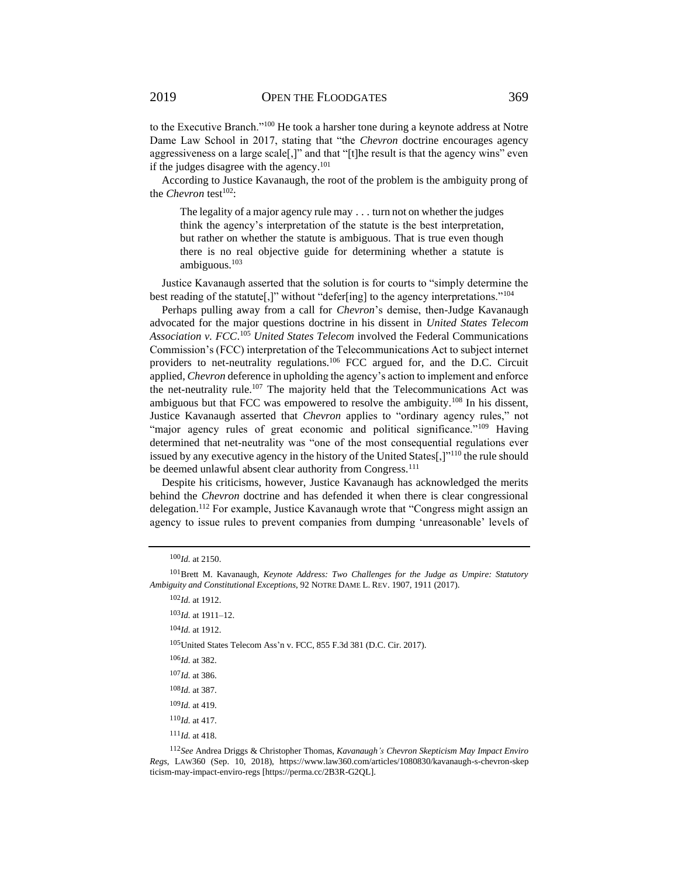to the Executive Branch."<sup>100</sup> He took a harsher tone during a keynote address at Notre Dame Law School in 2017, stating that "the *Chevron* doctrine encourages agency aggressiveness on a large scale[,]" and that "[t]he result is that the agency wins" even if the judges disagree with the agency.<sup>101</sup>

According to Justice Kavanaugh, the root of the problem is the ambiguity prong of the *Chevron* test<sup>102</sup>:

The legality of a major agency rule may . . . turn not on whether the judges think the agency's interpretation of the statute is the best interpretation, but rather on whether the statute is ambiguous. That is true even though there is no real objective guide for determining whether a statute is ambiguous. $103$ 

Justice Kavanaugh asserted that the solution is for courts to "simply determine the best reading of the statute[,]" without "defer[ing] to the agency interpretations."<sup>104</sup>

Perhaps pulling away from a call for *Chevron*'s demise, then-Judge Kavanaugh advocated for the major questions doctrine in his dissent in *United States Telecom Association v. FCC*. <sup>105</sup> *United States Telecom* involved the Federal Communications Commission's (FCC) interpretation of the Telecommunications Act to subject internet providers to net-neutrality regulations.<sup>106</sup> FCC argued for, and the D.C. Circuit applied, *Chevron* deference in upholding the agency's action to implement and enforce the net-neutrality rule.<sup>107</sup> The majority held that the Telecommunications Act was ambiguous but that FCC was empowered to resolve the ambiguity.<sup>108</sup> In his dissent, Justice Kavanaugh asserted that *Chevron* applies to "ordinary agency rules," not "major agency rules of great economic and political significance."<sup>109</sup> Having determined that net-neutrality was "one of the most consequential regulations ever issued by any executive agency in the history of the United States[,] $"^{110}$  the rule should be deemed unlawful absent clear authority from Congress.<sup>111</sup>

Despite his criticisms, however, Justice Kavanaugh has acknowledged the merits behind the *Chevron* doctrine and has defended it when there is clear congressional delegation.<sup>112</sup> For example, Justice Kavanaugh wrote that "Congress might assign an agency to issue rules to prevent companies from dumping 'unreasonable' levels of

<sup>102</sup>*Id.* at 1912.

<sup>103</sup>*Id.* at 1911–12.

<sup>104</sup>*Id.* at 1912.

<sup>105</sup>United States Telecom Ass'n v. FCC, 855 F.3d 381 (D.C. Cir. 2017).

<sup>111</sup>*Id.* at 418.

<sup>112</sup>*See* Andrea Driggs & Christopher Thomas, *Kavanaugh's Chevron Skepticism May Impact Enviro Regs*, LAW360 (Sep. 10, 2018), https://www.law360.com/articles/1080830/kavanaugh-s-chevron-skep ticism-may-impact-enviro-regs [https://perma.cc/2B3R-G2QL].

<sup>100</sup>*Id.* at 2150.

<sup>101</sup>Brett M. Kavanaugh, *Keynote Address: Two Challenges for the Judge as Umpire: Statutory Ambiguity and Constitutional Exceptions*, 92 NOTRE DAME L. REV. 1907, 1911 (2017).

<sup>106</sup>*Id.* at 382.

<sup>107</sup>*Id.* at 386.

<sup>108</sup>*Id.* at 387.

<sup>109</sup>*Id.* at 419.

<sup>110</sup>*Id.* at 417.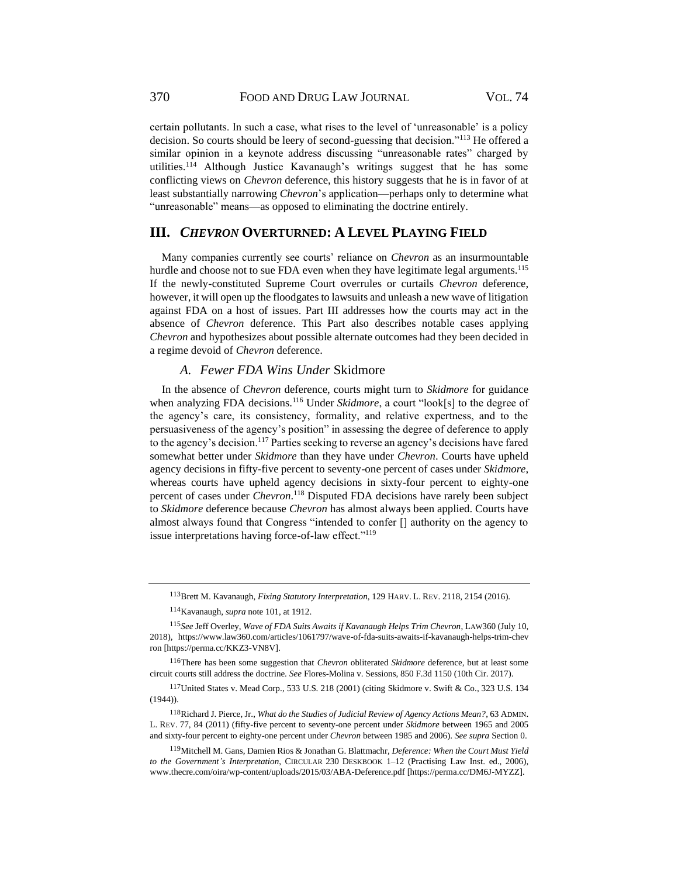370 FOOD AND DRUG LAW JOURNAL VOL. 74

certain pollutants. In such a case, what rises to the level of 'unreasonable' is a policy decision. So courts should be leery of second-guessing that decision."<sup>113</sup> He offered a similar opinion in a keynote address discussing "unreasonable rates" charged by utilities.<sup>114</sup> Although Justice Kavanaugh's writings suggest that he has some conflicting views on *Chevron* deference, this history suggests that he is in favor of at least substantially narrowing *Chevron*'s application—perhaps only to determine what "unreasonable" means—as opposed to eliminating the doctrine entirely.

### **III.** *CHEVRON* **OVERTURNED: A LEVEL PLAYING FIELD**

Many companies currently see courts' reliance on *Chevron* as an insurmountable hurdle and choose not to sue FDA even when they have legitimate legal arguments.<sup>115</sup> If the newly-constituted Supreme Court overrules or curtails *Chevron* deference, however, it will open up the floodgates to lawsuits and unleash a new wave of litigation against FDA on a host of issues. Part III addresses how the courts may act in the absence of *Chevron* deference. This Part also describes notable cases applying *Chevron* and hypothesizes about possible alternate outcomes had they been decided in a regime devoid of *Chevron* deference.

### *A. Fewer FDA Wins Under* Skidmore

In the absence of *Chevron* deference, courts might turn to *Skidmore* for guidance when analyzing FDA decisions.<sup>116</sup> Under *Skidmore*, a court "look[s] to the degree of the agency's care, its consistency, formality, and relative expertness, and to the persuasiveness of the agency's position" in assessing the degree of deference to apply to the agency's decision.<sup>117</sup> Parties seeking to reverse an agency's decisions have fared somewhat better under *Skidmore* than they have under *Chevron*. Courts have upheld agency decisions in fifty-five percent to seventy-one percent of cases under *Skidmore*, whereas courts have upheld agency decisions in sixty-four percent to eighty-one percent of cases under *Chevron*. <sup>118</sup> Disputed FDA decisions have rarely been subject to *Skidmore* deference because *Chevron* has almost always been applied. Courts have almost always found that Congress "intended to confer [] authority on the agency to issue interpretations having force-of-law effect."<sup>119</sup>

<sup>113</sup>Brett M. Kavanaugh, *Fixing Statutory Interpretation*, 129 HARV. L. REV. 2118, 2154 (2016).

<sup>114</sup>Kavanaugh, *supra* note 101, at 1912.

<sup>115</sup>*See* Jeff Overley, *Wave of FDA Suits Awaits if Kavanaugh Helps Trim Chevron*, LAW360 (July 10, 2018), https://www.law360.com/articles/1061797/wave-of-fda-suits-awaits-if-kavanaugh-helps-trim-chev ron [https://perma.cc/KKZ3-VN8V].

<sup>116</sup>There has been some suggestion that *Chevron* obliterated *Skidmore* deference, but at least some circuit courts still address the doctrine. *See* Flores-Molina v. Sessions, 850 F.3d 1150 (10th Cir. 2017).

<sup>117</sup>United States v. Mead Corp., 533 U.S. 218 (2001) (citing Skidmore v. Swift & Co., 323 U.S. 134 (1944)).

<sup>118</sup>Richard J. Pierce, Jr., *What do the Studies of Judicial Review of Agency Actions Mean?*, 63 ADMIN. L. REV. 77, 84 (2011) (fifty-five percent to seventy-one percent under *Skidmore* between 1965 and 2005 and sixty-four percent to eighty-one percent under *Chevron* between 1985 and 2006). *See supra* Sectio[n 0.](#page-2-0)

<sup>119</sup>Mitchell M. Gans, Damien Rios & Jonathan G. Blattmachr, *Deference: When the Court Must Yield to the Government's Interpretation*, CIRCULAR 230 DESKBOOK 1–12 (Practising Law Inst. ed., 2006), www.thecre.com/oira/wp-content/uploads/2015/03/ABA-Deference.pdf [https://perma.cc/DM6J-MYZZ]*.*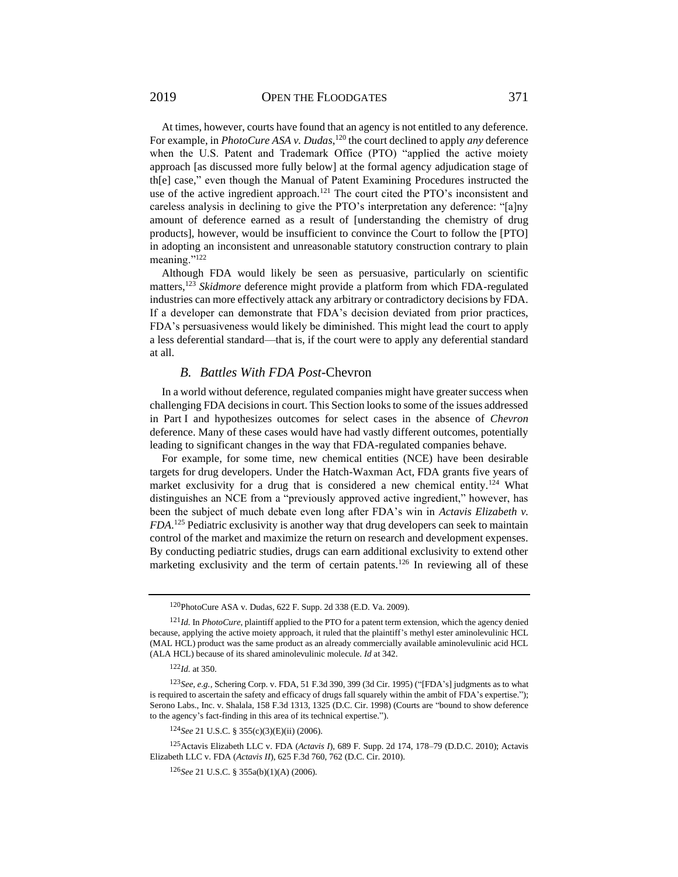2019 OPEN THE FLOODGATES 371

At times, however, courts have found that an agency is not entitled to any deference. For example, in *PhotoCure ASA v. Dudas*,<sup>120</sup> the court declined to apply *any* deference when the U.S. Patent and Trademark Office (PTO) "applied the active moiety

approach [as discussed more fully below] at the formal agency adjudication stage of th[e] case," even though the Manual of Patent Examining Procedures instructed the use of the active ingredient approach.<sup>121</sup> The court cited the PTO's inconsistent and careless analysis in declining to give the PTO's interpretation any deference: "[a]ny amount of deference earned as a result of [understanding the chemistry of drug products], however, would be insufficient to convince the Court to follow the [PTO] in adopting an inconsistent and unreasonable statutory construction contrary to plain meaning."<sup>122</sup>

Although FDA would likely be seen as persuasive, particularly on scientific matters,<sup>123</sup> *Skidmore* deference might provide a platform from which FDA-regulated industries can more effectively attack any arbitrary or contradictory decisions by FDA. If a developer can demonstrate that FDA's decision deviated from prior practices, FDA's persuasiveness would likely be diminished. This might lead the court to apply a less deferential standard—that is, if the court were to apply any deferential standard at all.

### *B. Battles With FDA Post-*Chevron

In a world without deference, regulated companies might have greater success when challenging FDA decisions in court. This Section looks to some of the issues addressed in Part I and hypothesizes outcomes for select cases in the absence of *Chevron* deference. Many of these cases would have had vastly different outcomes, potentially leading to significant changes in the way that FDA-regulated companies behave.

For example, for some time, new chemical entities (NCE) have been desirable targets for drug developers. Under the Hatch-Waxman Act, FDA grants five years of market exclusivity for a drug that is considered a new chemical entity.<sup>124</sup> What distinguishes an NCE from a "previously approved active ingredient," however, has been the subject of much debate even long after FDA's win in *Actavis Elizabeth v. FDA*. <sup>125</sup> Pediatric exclusivity is another way that drug developers can seek to maintain control of the market and maximize the return on research and development expenses. By conducting pediatric studies, drugs can earn additional exclusivity to extend other marketing exclusivity and the term of certain patents.<sup>126</sup> In reviewing all of these

<sup>120</sup>PhotoCure ASA v. Dudas, 622 F. Supp. 2d 338 (E.D. Va. 2009).

<sup>121</sup>*Id.* In *PhotoCure*, plaintiff applied to the PTO for a patent term extension, which the agency denied because, applying the active moiety approach, it ruled that the plaintiff's methyl ester aminolevulinic HCL (MAL HCL) product was the same product as an already commercially available aminolevulinic acid HCL (ALA HCL) because of its shared aminolevulinic molecule. *Id* at 342.

<sup>122</sup>*Id.* at 350.

<sup>123</sup>*See, e.g.*, Schering Corp. v. FDA, 51 F.3d 390, 399 (3d Cir. 1995) ("[FDA's] judgments as to what is required to ascertain the safety and efficacy of drugs fall squarely within the ambit of FDA's expertise."); Serono Labs., Inc. v. Shalala, 158 F.3d 1313, 1325 (D.C. Cir. 1998) (Courts are "bound to show deference to the agency's fact-finding in this area of its technical expertise.").

<sup>124</sup>*See* 21 U.S.C. § 355(c)(3)(E)(ii) (2006).

<sup>125</sup>Actavis Elizabeth LLC v. FDA (*Actavis I*), 689 F. Supp. 2d 174, 178–79 (D.D.C. 2010); Actavis Elizabeth LLC v. FDA (*Actavis II*), 625 F.3d 760, 762 (D.C. Cir. 2010).

<sup>126</sup>*See* 21 U.S.C. § 355a(b)(1)(A) (2006).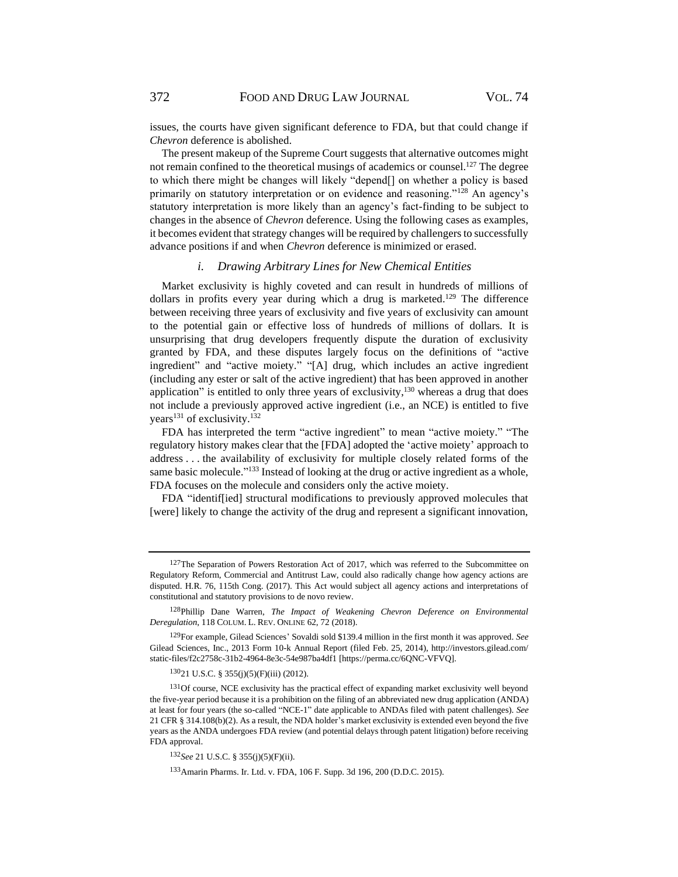issues, the courts have given significant deference to FDA, but that could change if *Chevron* deference is abolished.

The present makeup of the Supreme Court suggests that alternative outcomes might not remain confined to the theoretical musings of academics or counsel.<sup>127</sup> The degree to which there might be changes will likely "depend[] on whether a policy is based primarily on statutory interpretation or on evidence and reasoning."<sup>128</sup> An agency's statutory interpretation is more likely than an agency's fact-finding to be subject to changes in the absence of *Chevron* deference. Using the following cases as examples, it becomes evident that strategy changes will be required by challengers to successfully advance positions if and when *Chevron* deference is minimized or erased.

### *i. Drawing Arbitrary Lines for New Chemical Entities*

Market exclusivity is highly coveted and can result in hundreds of millions of dollars in profits every year during which a drug is marketed.<sup>129</sup> The difference between receiving three years of exclusivity and five years of exclusivity can amount to the potential gain or effective loss of hundreds of millions of dollars. It is unsurprising that drug developers frequently dispute the duration of exclusivity granted by FDA, and these disputes largely focus on the definitions of "active ingredient" and "active moiety." "[A] drug, which includes an active ingredient (including any ester or salt of the active ingredient) that has been approved in another application" is entitled to only three years of exclusivity,<sup>130</sup> whereas a drug that does not include a previously approved active ingredient (i.e., an NCE) is entitled to five years<sup>131</sup> of exclusivity.<sup>132</sup>

FDA has interpreted the term "active ingredient" to mean "active moiety." "The regulatory history makes clear that the [FDA] adopted the 'active moiety' approach to address . . . the availability of exclusivity for multiple closely related forms of the same basic molecule."<sup>133</sup> Instead of looking at the drug or active ingredient as a whole, FDA focuses on the molecule and considers only the active moiety.

FDA "identif[ied] structural modifications to previously approved molecules that [were] likely to change the activity of the drug and represent a significant innovation,

 $127$ The Separation of Powers Restoration Act of 2017, which was referred to the Subcommittee on Regulatory Reform, Commercial and Antitrust Law, could also radically change how agency actions are disputed. H.R. 76, 115th Cong. (2017). This Act would subject all agency actions and interpretations of constitutional and statutory provisions to de novo review.

<sup>128</sup>Phillip Dane Warren, *The Impact of Weakening Chevron Deference on Environmental Deregulation*, 118 COLUM. L. REV. ONLINE 62, 72 (2018).

<sup>129</sup>For example, Gilead Sciences' Sovaldi sold \$139.4 million in the first month it was approved. *See* Gilead Sciences, Inc., 2013 Form 10-k Annual Report (filed Feb. 25, 2014), http://investors.gilead.com/ static-files/f2c2758c-31b2-4964-8e3c-54e987ba4df1 [https://perma.cc/6QNC-VFVQ].

<sup>130</sup>21 U.S.C. § 355(j)(5)(F)(iii) (2012).

<sup>&</sup>lt;sup>131</sup>Of course, NCE exclusivity has the practical effect of expanding market exclusivity well beyond the five-year period because it is a prohibition on the filing of an abbreviated new drug application (ANDA) at least for four years (the so-called "NCE-1" date applicable to ANDAs filed with patent challenges). *See*  21 CFR § 314.108(b)(2). As a result, the NDA holder's market exclusivity is extended even beyond the five years as the ANDA undergoes FDA review (and potential delays through patent litigation) before receiving FDA approval.

<sup>132</sup>*See* 21 U.S.C. § 355(j)(5)(F)(ii).

<sup>133</sup>Amarin Pharms. Ir. Ltd. v. FDA, 106 F. Supp. 3d 196, 200 (D.D.C. 2015).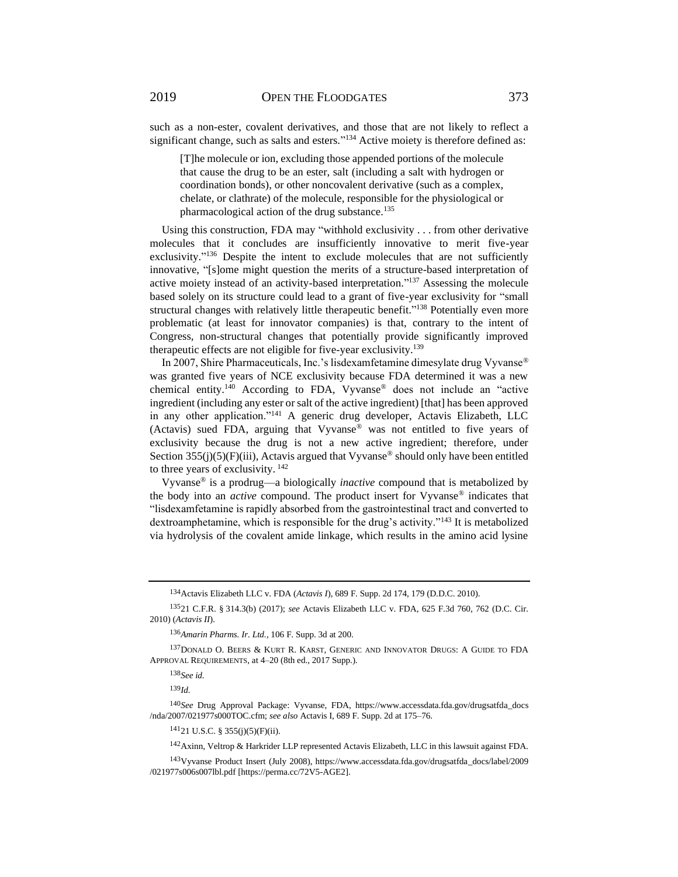such as a non-ester, covalent derivatives, and those that are not likely to reflect a significant change, such as salts and esters."<sup>134</sup> Active moiety is therefore defined as:

[T]he molecule or ion, excluding those appended portions of the molecule that cause the drug to be an ester, salt (including a salt with hydrogen or coordination bonds), or other noncovalent derivative (such as a complex, chelate, or clathrate) of the molecule, responsible for the physiological or pharmacological action of the drug substance.<sup>135</sup>

Using this construction, FDA may "withhold exclusivity . . . from other derivative molecules that it concludes are insufficiently innovative to merit five-year exclusivity."<sup>136</sup> Despite the intent to exclude molecules that are not sufficiently innovative, "[s]ome might question the merits of a structure-based interpretation of active moiety instead of an activity-based interpretation."<sup>137</sup> Assessing the molecule based solely on its structure could lead to a grant of five-year exclusivity for "small structural changes with relatively little therapeutic benefit."<sup>138</sup> Potentially even more problematic (at least for innovator companies) is that, contrary to the intent of Congress, non-structural changes that potentially provide significantly improved therapeutic effects are not eligible for five-year exclusivity.<sup>139</sup>

In 2007, Shire Pharmaceuticals, Inc.'s lisdexamfetamine dimesylate drug Vyvanse® was granted five years of NCE exclusivity because FDA determined it was a new chemical entity.<sup>140</sup> According to FDA, Vyvanse® does not include an "active ingredient (including any ester or salt of the active ingredient) [that] has been approved in any other application."<sup>141</sup> A generic drug developer, Actavis Elizabeth, LLC (Actavis) sued FDA, arguing that Vyvanse® was not entitled to five years of exclusivity because the drug is not a new active ingredient; therefore, under Section  $355(j)(5)(F)(iii)$ , Actavis argued that Vyvanse<sup>®</sup> should only have been entitled to three years of exclusivity. <sup>142</sup>

Vyvanse® is a prodrug—a biologically *inactive* compound that is metabolized by the body into an *active* compound. The product insert for Vyvanse® indicates that "lisdexamfetamine is rapidly absorbed from the gastrointestinal tract and converted to dextroamphetamine, which is responsible for the drug's activity."<sup>143</sup> It is metabolized via hydrolysis of the covalent amide linkage, which results in the amino acid lysine

<sup>134</sup>Actavis Elizabeth LLC v. FDA (*Actavis I*), 689 F. Supp. 2d 174, 179 (D.D.C. 2010).

<sup>135</sup>21 C.F.R. § 314.3(b) (2017); *see* Actavis Elizabeth LLC v. FDA, 625 F.3d 760, 762 (D.C. Cir. 2010) (*Actavis II*).

<sup>136</sup>*Amarin Pharms. Ir. Ltd.*, 106 F. Supp. 3d at 200.

<sup>137</sup>DONALD O. BEERS & KURT R. KARST, GENERIC AND INNOVATOR DRUGS: A GUIDE TO FDA APPROVAL REQUIREMENTS, at 4–20 (8th ed., 2017 Supp.).

<sup>138</sup>*See id.*

<sup>139</sup>*Id.*

<sup>140</sup>*See* Drug Approval Package: Vyvanse, FDA, https://www.accessdata.fda.gov/drugsatfda\_docs /nda/2007/021977s000TOC.cfm; *see also* Actavis I, 689 F. Supp. 2d at 175–76.

<sup>141</sup>21 U.S.C. § 355(j)(5)(F)(ii).

<sup>142</sup>Axinn, Veltrop & Harkrider LLP represented Actavis Elizabeth, LLC in this lawsuit against FDA.

<sup>143</sup>Vyvanse Product Insert (July 2008), https://www.accessdata.fda.gov/drugsatfda\_docs/label/2009 /021977s006s007lbl.pdf [https://perma.cc/72V5-AGE2].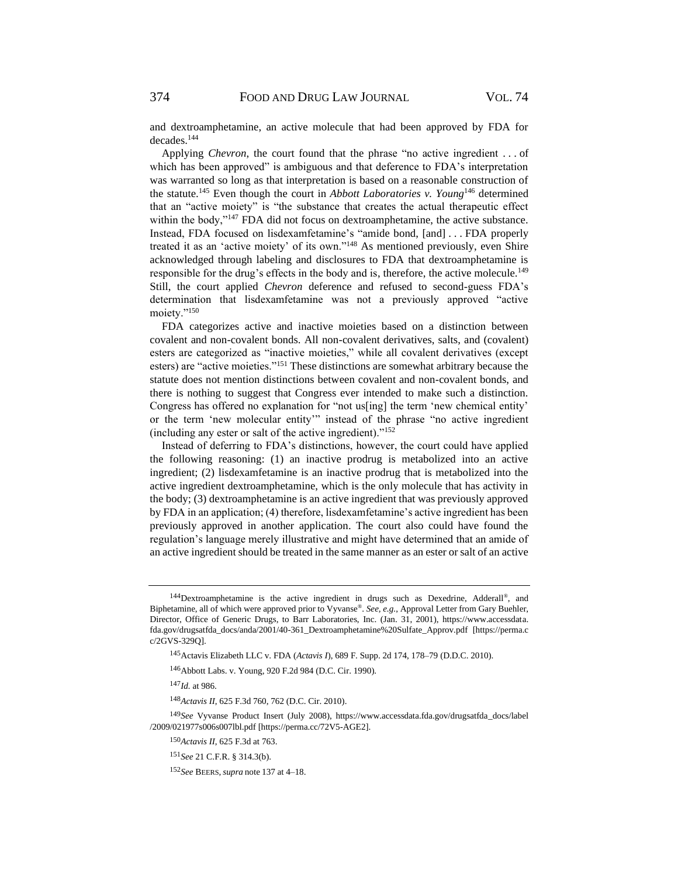and dextroamphetamine, an active molecule that had been approved by FDA for decades.<sup>144</sup>

Applying *Chevron*, the court found that the phrase "no active ingredient . . . of which has been approved" is ambiguous and that deference to FDA's interpretation was warranted so long as that interpretation is based on a reasonable construction of the statute.<sup>145</sup> Even though the court in *Abbott Laboratories v. Young*<sup>146</sup> determined that an "active moiety" is "the substance that creates the actual therapeutic effect within the body,"<sup>147</sup> FDA did not focus on dextroamphetamine, the active substance. Instead, FDA focused on lisdexamfetamine's "amide bond, [and] . . . FDA properly treated it as an 'active moiety' of its own."<sup>148</sup> As mentioned previously, even Shire acknowledged through labeling and disclosures to FDA that dextroamphetamine is responsible for the drug's effects in the body and is, therefore, the active molecule.<sup>149</sup> Still, the court applied *Chevron* deference and refused to second-guess FDA's determination that lisdexamfetamine was not a previously approved "active moiety."<sup>150</sup>

FDA categorizes active and inactive moieties based on a distinction between covalent and non-covalent bonds. All non-covalent derivatives, salts, and (covalent) esters are categorized as "inactive moieties," while all covalent derivatives (except esters) are "active moieties."<sup>151</sup> These distinctions are somewhat arbitrary because the statute does not mention distinctions between covalent and non-covalent bonds, and there is nothing to suggest that Congress ever intended to make such a distinction. Congress has offered no explanation for "not us[ing] the term 'new chemical entity' or the term 'new molecular entity'" instead of the phrase "no active ingredient (including any ester or salt of the active ingredient). $152$ 

Instead of deferring to FDA's distinctions, however, the court could have applied the following reasoning: (1) an inactive prodrug is metabolized into an active ingredient; (2) lisdexamfetamine is an inactive prodrug that is metabolized into the active ingredient dextroamphetamine, which is the only molecule that has activity in the body; (3) dextroamphetamine is an active ingredient that was previously approved by FDA in an application; (4) therefore, lisdexamfetamine's active ingredient has been previously approved in another application. The court also could have found the regulation's language merely illustrative and might have determined that an amide of an active ingredient should be treated in the same manner as an ester or salt of an active

<sup>&</sup>lt;sup>144</sup>Dextroamphetamine is the active ingredient in drugs such as Dexedrine, Adderall®, and Biphetamine, all of which were approved prior to Vyvanse® . *See, e.g.*, Approval Letter from Gary Buehler, Director, Office of Generic Drugs, to Barr Laboratories, Inc. (Jan. 31, 2001), https://www.accessdata. fda.gov/drugsatfda\_docs/anda/2001/40-361\_Dextroamphetamine%20Sulfate\_Approv.pdf [https://perma.c c/2GVS-329Q].

<sup>145</sup>Actavis Elizabeth LLC v. FDA (*Actavis I*), 689 F. Supp. 2d 174, 178–79 (D.D.C. 2010).

<sup>146</sup>Abbott Labs. v. Young, 920 F.2d 984 (D.C. Cir. 1990).

<sup>147</sup>*Id.* at 986.

<sup>148</sup>*Actavis II*, 625 F.3d 760, 762 (D.C. Cir. 2010).

<sup>149</sup>*See* Vyvanse Product Insert (July 2008), https://www.accessdata.fda.gov/drugsatfda\_docs/label /2009/021977s006s007lbl.pdf [https://perma.cc/72V5-AGE2].

<sup>150</sup>*Actavis II*, 625 F.3d at 763.

<sup>151</sup>*See* 21 C.F.R. § 314.3(b).

<sup>152</sup>*See* BEERS, *supra* note 137 at 4–18.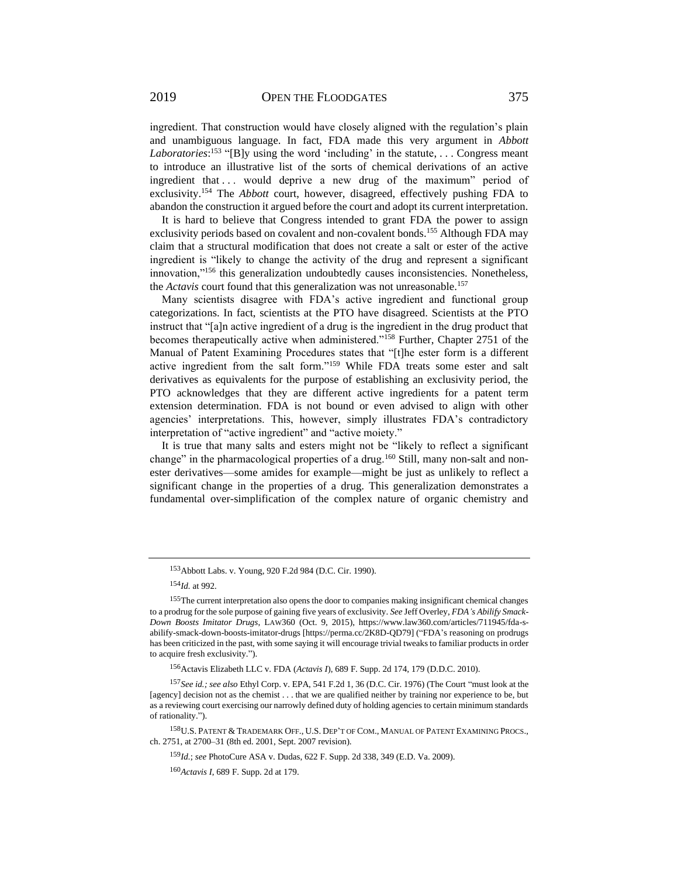ingredient. That construction would have closely aligned with the regulation's plain and unambiguous language. In fact, FDA made this very argument in *Abbott*  Laboratories:<sup>153</sup> "[B]y using the word 'including' in the statute, ... Congress meant to introduce an illustrative list of the sorts of chemical derivations of an active ingredient that ... would deprive a new drug of the maximum" period of exclusivity.<sup>154</sup> The *Abbott* court, however, disagreed, effectively pushing FDA to abandon the construction it argued before the court and adopt its current interpretation.

It is hard to believe that Congress intended to grant FDA the power to assign exclusivity periods based on covalent and non-covalent bonds.<sup>155</sup> Although FDA may claim that a structural modification that does not create a salt or ester of the active ingredient is "likely to change the activity of the drug and represent a significant innovation,"<sup>156</sup> this generalization undoubtedly causes inconsistencies. Nonetheless, the *Actavis* court found that this generalization was not unreasonable.<sup>157</sup>

Many scientists disagree with FDA's active ingredient and functional group categorizations. In fact, scientists at the PTO have disagreed. Scientists at the PTO instruct that "[a]n active ingredient of a drug is the ingredient in the drug product that becomes therapeutically active when administered."<sup>158</sup> Further, Chapter 2751 of the Manual of Patent Examining Procedures states that "[t]he ester form is a different active ingredient from the salt form."<sup>159</sup> While FDA treats some ester and salt derivatives as equivalents for the purpose of establishing an exclusivity period, the PTO acknowledges that they are different active ingredients for a patent term extension determination. FDA is not bound or even advised to align with other agencies' interpretations. This, however, simply illustrates FDA's contradictory interpretation of "active ingredient" and "active moiety."

It is true that many salts and esters might not be "likely to reflect a significant change" in the pharmacological properties of a drug.<sup>160</sup> Still, many non-salt and nonester derivatives—some amides for example—might be just as unlikely to reflect a significant change in the properties of a drug. This generalization demonstrates a fundamental over-simplification of the complex nature of organic chemistry and

<sup>153</sup>Abbott Labs. v. Young, 920 F.2d 984 (D.C. Cir. 1990).

<sup>154</sup>*Id.* at 992.

<sup>155</sup>The current interpretation also opens the door to companies making insignificant chemical changes to a prodrug for the sole purpose of gaining five years of exclusivity. *See* Jeff Overley, *FDA's Abilify Smack-Down Boosts Imitator Drugs*, LAW360 (Oct. 9, 2015), https://www.law360.com/articles/711945/fda-sabilify-smack-down-boosts-imitator-drugs [https://perma.cc/2K8D-QD79] ("FDA's reasoning on prodrugs has been criticized in the past, with some saying it will encourage trivial tweaks to familiar products in order to acquire fresh exclusivity.").

<sup>156</sup>Actavis Elizabeth LLC v. FDA (*Actavis I*), 689 F. Supp. 2d 174, 179 (D.D.C. 2010).

<sup>157</sup>*See id.; see also* Ethyl Corp. v. EPA, 541 F.2d 1, 36 (D.C. Cir. 1976) (The Court "must look at the [agency] decision not as the chemist . . . that we are qualified neither by training nor experience to be, but as a reviewing court exercising our narrowly defined duty of holding agencies to certain minimum standards of rationality.").

<sup>158</sup>U.S. PATENT & TRADEMARK OFF., U.S. DEP'T OF COM., MANUAL OF PATENT EXAMINING PROCS., ch. 2751, at 2700–31 (8th ed. 2001, Sept. 2007 revision).

<sup>159</sup>*Id.*; *see* PhotoCure ASA v. Dudas, 622 F. Supp. 2d 338, 349 (E.D. Va. 2009).

<sup>160</sup>*Actavis I*, 689 F. Supp. 2d at 179.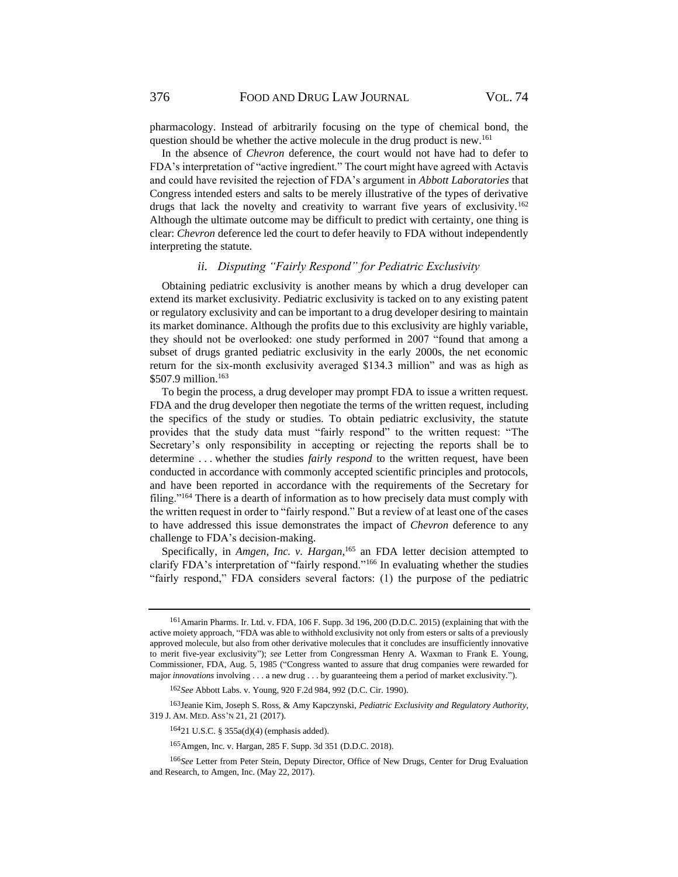376 FOOD AND DRUG LAW JOURNAL VOL. 74

pharmacology. Instead of arbitrarily focusing on the type of chemical bond, the question should be whether the active molecule in the drug product is new.<sup>161</sup>

In the absence of *Chevron* deference, the court would not have had to defer to FDA's interpretation of "active ingredient." The court might have agreed with Actavis and could have revisited the rejection of FDA's argument in *Abbott Laboratories* that Congress intended esters and salts to be merely illustrative of the types of derivative drugs that lack the novelty and creativity to warrant five years of exclusivity.<sup>162</sup> Although the ultimate outcome may be difficult to predict with certainty, one thing is clear: *Chevron* deference led the court to defer heavily to FDA without independently interpreting the statute.

### *ii. Disputing "Fairly Respond" for Pediatric Exclusivity*

Obtaining pediatric exclusivity is another means by which a drug developer can extend its market exclusivity. Pediatric exclusivity is tacked on to any existing patent or regulatory exclusivity and can be important to a drug developer desiring to maintain its market dominance. Although the profits due to this exclusivity are highly variable, they should not be overlooked: one study performed in 2007 "found that among a subset of drugs granted pediatric exclusivity in the early 2000s, the net economic return for the six-month exclusivity averaged \$134.3 million" and was as high as \$507.9 million.<sup>163</sup>

To begin the process, a drug developer may prompt FDA to issue a written request. FDA and the drug developer then negotiate the terms of the written request, including the specifics of the study or studies. To obtain pediatric exclusivity, the statute provides that the study data must "fairly respond" to the written request: "The Secretary's only responsibility in accepting or rejecting the reports shall be to determine . . . whether the studies *fairly respond* to the written request, have been conducted in accordance with commonly accepted scientific principles and protocols, and have been reported in accordance with the requirements of the Secretary for filing."<sup>164</sup> There is a dearth of information as to how precisely data must comply with the written request in order to "fairly respond." But a review of at least one of the cases to have addressed this issue demonstrates the impact of *Chevron* deference to any challenge to FDA's decision-making.

Specifically, in *Amgen, Inc. v. Hargan*, <sup>165</sup> an FDA letter decision attempted to clarify FDA's interpretation of "fairly respond."<sup>166</sup> In evaluating whether the studies "fairly respond," FDA considers several factors: (1) the purpose of the pediatric

<sup>161</sup>Amarin Pharms. Ir. Ltd. v. FDA, 106 F. Supp. 3d 196, 200 (D.D.C. 2015) (explaining that with the active moiety approach, "FDA was able to withhold exclusivity not only from esters or salts of a previously approved molecule, but also from other derivative molecules that it concludes are insufficiently innovative to merit five-year exclusivity"); *see* Letter from Congressman Henry A. Waxman to Frank E. Young, Commissioner, FDA, Aug. 5, 1985 ("Congress wanted to assure that drug companies were rewarded for major *innovations* involving . . . a new drug . . . by guaranteeing them a period of market exclusivity.").

<sup>162</sup>*See* Abbott Labs. v. Young, 920 F.2d 984, 992 (D.C. Cir. 1990).

<sup>163</sup>Jeanie Kim, Joseph S. Ross, & Amy Kapczynski, *Pediatric Exclusivity and Regulatory Authority*, 319 J. AM. MED. ASS'N 21, 21 (2017).

<sup>164</sup>21 U.S.C. § 355a(d)(4) (emphasis added).

<sup>165</sup>Amgen, Inc. v. Hargan, 285 F. Supp. 3d 351 (D.D.C. 2018).

<sup>166</sup>*See* Letter from Peter Stein, Deputy Director, Office of New Drugs, Center for Drug Evaluation and Research, to Amgen, Inc. (May 22, 2017).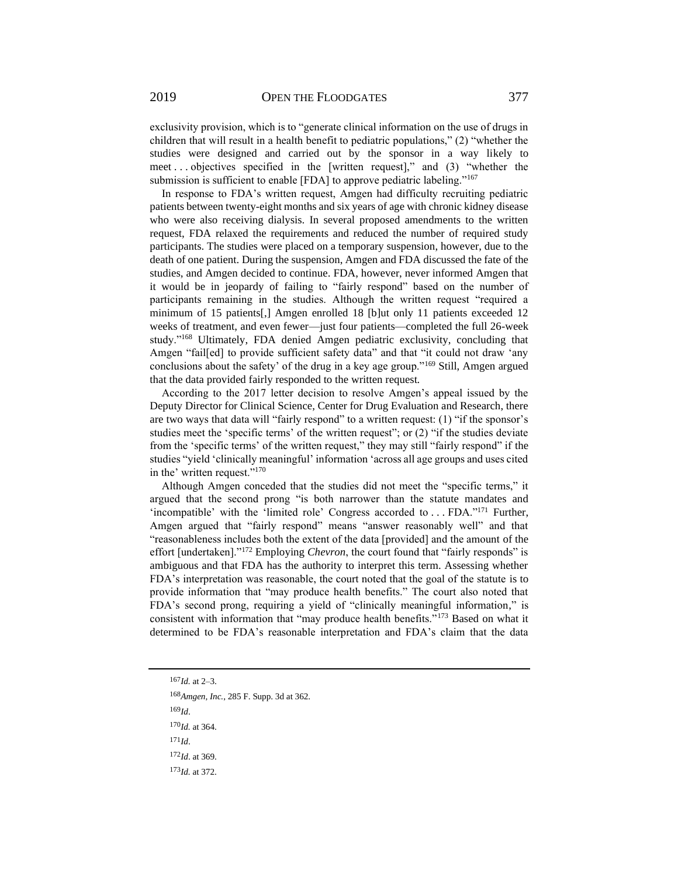exclusivity provision, which is to "generate clinical information on the use of drugs in children that will result in a health benefit to pediatric populations," (2) "whether the studies were designed and carried out by the sponsor in a way likely to meet . . . objectives specified in the [written request]," and (3) "whether the submission is sufficient to enable [FDA] to approve pediatric labeling."<sup>167</sup>

In response to FDA's written request, Amgen had difficulty recruiting pediatric patients between twenty-eight months and six years of age with chronic kidney disease who were also receiving dialysis. In several proposed amendments to the written request, FDA relaxed the requirements and reduced the number of required study participants. The studies were placed on a temporary suspension, however, due to the death of one patient. During the suspension, Amgen and FDA discussed the fate of the studies, and Amgen decided to continue. FDA, however, never informed Amgen that it would be in jeopardy of failing to "fairly respond" based on the number of participants remaining in the studies. Although the written request "required a minimum of 15 patients[,] Amgen enrolled 18 [b]ut only 11 patients exceeded 12 weeks of treatment, and even fewer—just four patients—completed the full 26-week study."<sup>168</sup> Ultimately, FDA denied Amgen pediatric exclusivity, concluding that Amgen "fail[ed] to provide sufficient safety data" and that "it could not draw 'any conclusions about the safety' of the drug in a key age group."<sup>169</sup> Still, Amgen argued that the data provided fairly responded to the written request.

According to the 2017 letter decision to resolve Amgen's appeal issued by the Deputy Director for Clinical Science, Center for Drug Evaluation and Research, there are two ways that data will "fairly respond" to a written request: (1) "if the sponsor's studies meet the 'specific terms' of the written request"; or (2) "if the studies deviate from the 'specific terms' of the written request," they may still "fairly respond" if the studies "yield 'clinically meaningful' information 'across all age groups and uses cited in the' written request."<sup>170</sup>

Although Amgen conceded that the studies did not meet the "specific terms," it argued that the second prong "is both narrower than the statute mandates and 'incompatible' with the 'limited role' Congress accorded to . . . FDA."<sup>171</sup> Further, Amgen argued that "fairly respond" means "answer reasonably well" and that "reasonableness includes both the extent of the data [provided] and the amount of the effort [undertaken]."<sup>172</sup> Employing *Chevron*, the court found that "fairly responds" is ambiguous and that FDA has the authority to interpret this term. Assessing whether FDA's interpretation was reasonable, the court noted that the goal of the statute is to provide information that "may produce health benefits." The court also noted that FDA's second prong, requiring a yield of "clinically meaningful information," is consistent with information that "may produce health benefits."<sup>173</sup> Based on what it determined to be FDA's reasonable interpretation and FDA's claim that the data

<sup>167</sup>*Id.* at 2–3.

*Amgen, Inc.*, 285 F. Supp. 3d at 362. <sup>169</sup>*Id*. *Id.* at 364. <sup>171</sup>*Id*. *Id*. at 369. *Id.* at 372.